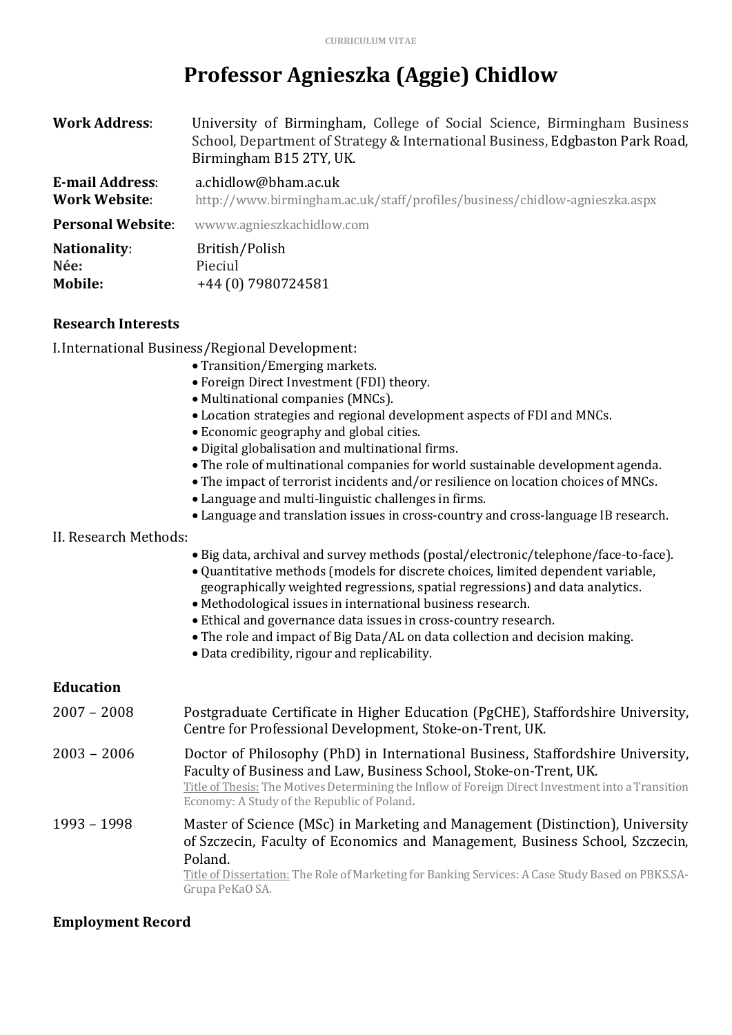# **Professor Agnieszka (Aggie) Chidlow**

| <b>Work Address:</b>                           | University of Birmingham, College of Social Science, Birmingham Business<br>School, Department of Strategy & International Business, Edgbaston Park Road,<br>Birmingham B15 2TY, UK. |
|------------------------------------------------|--------------------------------------------------------------------------------------------------------------------------------------------------------------------------------------|
| <b>E-mail Address:</b><br><b>Work Website:</b> | a.chidlow@bham.ac.uk<br>http://www.birmingham.ac.uk/staff/profiles/business/chidlow-agnieszka.aspx                                                                                   |
| <b>Personal Website:</b>                       | wwww.agnieszkachidlow.com                                                                                                                                                            |
| <b>Nationality:</b><br>Née:<br>Mobile:         | British/Polish<br>Pieciul<br>+44 (0) 7980724581                                                                                                                                      |
| <b>Research Interests</b>                      |                                                                                                                                                                                      |

| I. International Business/Regional Development: |  |  |
|-------------------------------------------------|--|--|
|                                                 |  |  |
|                                                 |  |  |

• Transition/Emerging markets. • Foreign Direct Investment (FDI) theory. • Multinational companies (MNCs). • Location strategies and regional development aspects of FDI and MNCs. • Economic geography and global cities. • Digital globalisation and multinational firms. • The role of multinational companies for world sustainable development agenda. • The impact of terrorist incidents and/or resilience on location choices of MNCs. • Language and multi-linguistic challenges in firms. • Language and translation issues in cross-country and cross-language IB research. II. Research Methods: • Big data, archival and survey methods (postal/electronic/telephone/face-to-face). • Quantitative methods (models for discrete choices, limited dependent variable, geographically weighted regressions, spatial regressions) and data analytics. • Methodological issues in international business research. • Ethical and governance data issues in cross-country research. • The role and impact of Big Data/AL on data collection and decision making. • Data credibility, rigour and replicability.

### **Education**

2007 - 2008 Postgraduate Certificate in Higher Education (PgCHE), Staffordshire University, Centre for Professional Development, Stoke-on-Trent, UK. 2003 – 2006 Doctor of Philosophy (PhD) in International Business, Staffordshire University, Faculty of Business and Law, Business School, Stoke-on-Trent, UK. Title of Thesis: The Motives Determining the Inflow of Foreign Direct Investment into a Transition Economy: A Study of the Republic of Poland. 1993 – 1998 Master of Science (MSc) in Marketing and Management (Distinction), University of Szczecin, Faculty of Economics and Management, Business School, Szczecin, Poland. Title of Dissertation: The Role of Marketing for Banking Services: A Case Study Based on PBKS.SA-Grupa PeKaO SA.

### **Employment Record**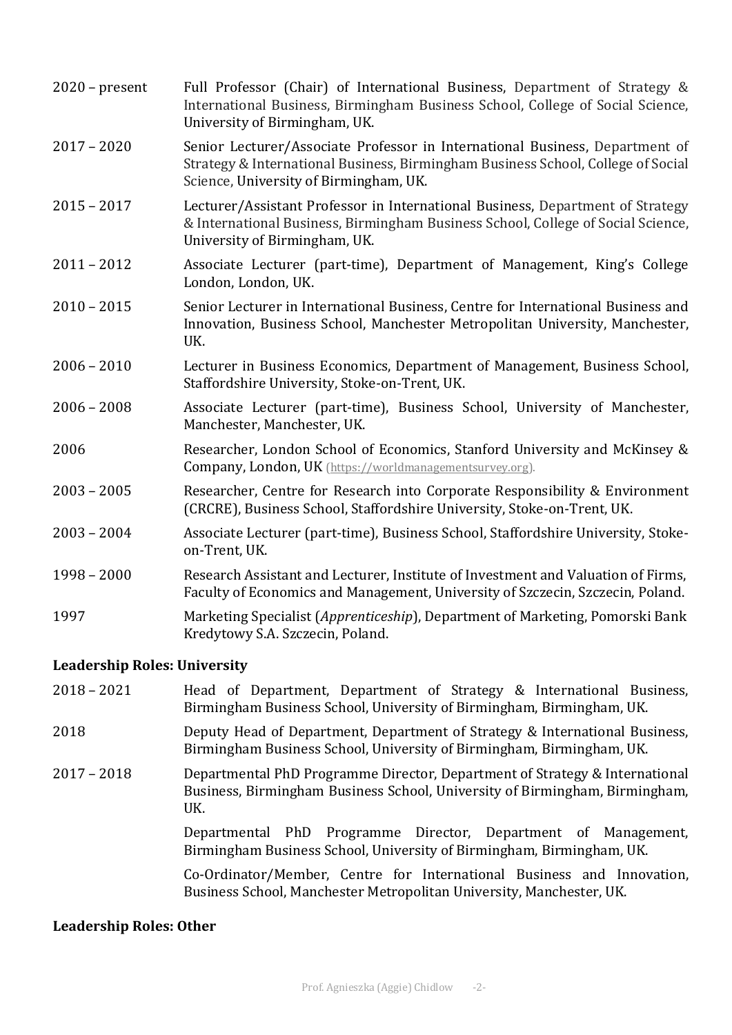| $2020$ – present | Full Professor (Chair) of International Business, Department of Strategy &<br>International Business, Birmingham Business School, College of Social Science,<br>University of Birmingham, UK.              |
|------------------|------------------------------------------------------------------------------------------------------------------------------------------------------------------------------------------------------------|
| $2017 - 2020$    | Senior Lecturer/Associate Professor in International Business, Department of<br>Strategy & International Business, Birmingham Business School, College of Social<br>Science, University of Birmingham, UK. |
| $2015 - 2017$    | Lecturer/Assistant Professor in International Business, Department of Strategy<br>& International Business, Birmingham Business School, College of Social Science,<br>University of Birmingham, UK.        |
| $2011 - 2012$    | Associate Lecturer (part-time), Department of Management, King's College<br>London, London, UK.                                                                                                            |
| $2010 - 2015$    | Senior Lecturer in International Business, Centre for International Business and<br>Innovation, Business School, Manchester Metropolitan University, Manchester,<br>UK.                                    |
| $2006 - 2010$    | Lecturer in Business Economics, Department of Management, Business School,<br>Staffordshire University, Stoke-on-Trent, UK.                                                                                |
| $2006 - 2008$    | Associate Lecturer (part-time), Business School, University of Manchester,<br>Manchester, Manchester, UK.                                                                                                  |
| 2006             | Researcher, London School of Economics, Stanford University and McKinsey &<br>Company, London, UK (https://worldmanagementsurvey.org).                                                                     |
| $2003 - 2005$    | Researcher, Centre for Research into Corporate Responsibility & Environment<br>(CRCRE), Business School, Staffordshire University, Stoke-on-Trent, UK.                                                     |
| $2003 - 2004$    | Associate Lecturer (part-time), Business School, Staffordshire University, Stoke-<br>on-Trent, UK.                                                                                                         |
| $1998 - 2000$    | Research Assistant and Lecturer, Institute of Investment and Valuation of Firms,<br>Faculty of Economics and Management, University of Szczecin, Szczecin, Poland.                                         |
| 1997             | Marketing Specialist (Apprenticeship), Department of Marketing, Pomorski Bank<br>Kredytowy S.A. Szczecin, Poland.                                                                                          |

#### Leadership Roles: University

| $2018 - 2021$ | Head of Department, Department of Strategy & International Business,  |  |  |  |
|---------------|-----------------------------------------------------------------------|--|--|--|
|               | Birmingham Business School, University of Birmingham, Birmingham, UK. |  |  |  |

- 2018 Deputy Head of Department, Department of Strategy & International Business, Birmingham Business School, University of Birmingham, Birmingham, UK.
- 2017 2018 Departmental PhD Programme Director, Department of Strategy & International Business, Birmingham Business School, University of Birmingham, Birmingham, UK.

Departmental PhD Programme Director, Department of Management, Birmingham Business School, University of Birmingham, Birmingham, UK.

Co-Ordinator/Member, Centre for International Business and Innovation, Business School, Manchester Metropolitan University, Manchester, UK.

#### Leadership Roles: Other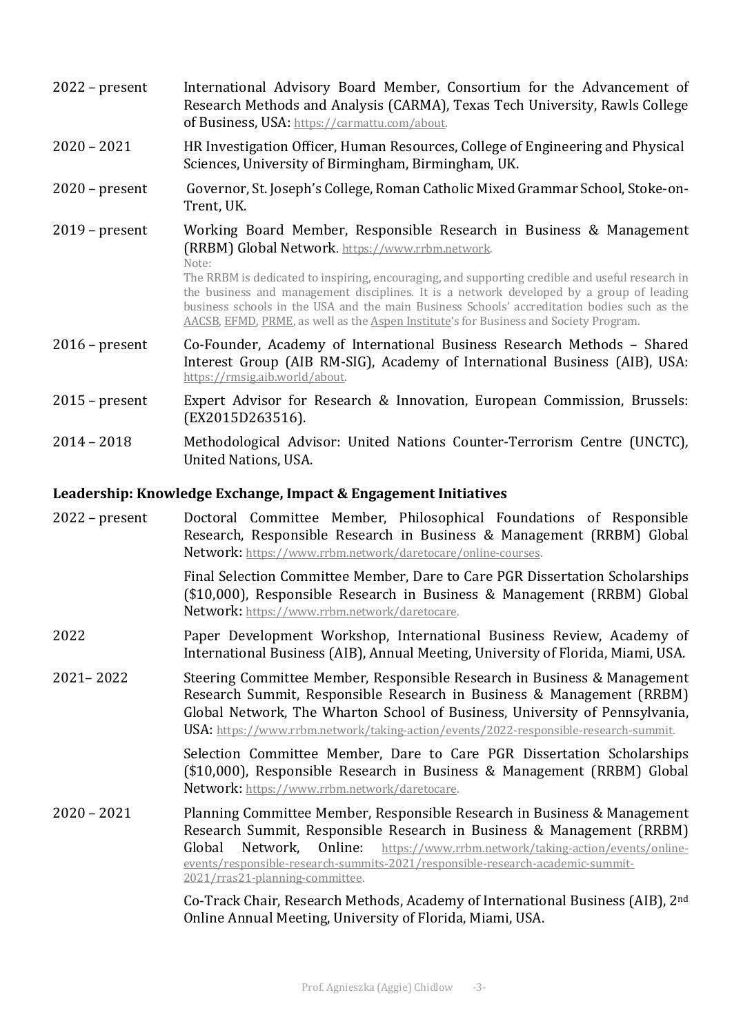| $2022$ – present | International Advisory Board Member, Consortium for the Advancement of<br>Research Methods and Analysis (CARMA), Texas Tech University, Rawls College<br>of Business, USA: https://carmattu.com/about.                                                                                                                                                                                                                                                                                                                  |
|------------------|-------------------------------------------------------------------------------------------------------------------------------------------------------------------------------------------------------------------------------------------------------------------------------------------------------------------------------------------------------------------------------------------------------------------------------------------------------------------------------------------------------------------------|
| $2020 - 2021$    | HR Investigation Officer, Human Resources, College of Engineering and Physical<br>Sciences, University of Birmingham, Birmingham, UK.                                                                                                                                                                                                                                                                                                                                                                                   |
| $2020$ – present | Governor, St. Joseph's College, Roman Catholic Mixed Grammar School, Stoke-on-<br>Trent, UK.                                                                                                                                                                                                                                                                                                                                                                                                                            |
| $2019$ – present | Working Board Member, Responsible Research in Business & Management<br>(RRBM) Global Network. https://www.rrbm.network.<br>Note:<br>The RRBM is dedicated to inspiring, encouraging, and supporting credible and useful research in<br>the business and management disciplines. It is a network developed by a group of leading<br>business schools in the USA and the main Business Schools' accreditation bodies such as the<br>AACSB, EFMD, PRME, as well as the Aspen Institute's for Business and Society Program. |
| $2016$ – present | Co-Founder, Academy of International Business Research Methods – Shared<br>Interest Group (AIB RM-SIG), Academy of International Business (AIB), USA:<br>https://rmsig.aib.world/about.                                                                                                                                                                                                                                                                                                                                 |
| $2015$ – present | Expert Advisor for Research & Innovation, European Commission, Brussels:<br>(EX2015D263516).                                                                                                                                                                                                                                                                                                                                                                                                                            |
| $2014 - 2018$    | Methodological Advisor: United Nations Counter-Terrorism Centre (UNCTC),<br><b>United Nations, USA.</b>                                                                                                                                                                                                                                                                                                                                                                                                                 |

## Leadership: Knowledge Exchange, Impact & Engagement Initiatives

| $2022$ – present | Doctoral Committee Member, Philosophical Foundations of Responsible<br>Research, Responsible Research in Business & Management (RRBM) Global<br>Network: https://www.rrbm.network/daretocare/online-courses.                                                                                                                                                  |
|------------------|---------------------------------------------------------------------------------------------------------------------------------------------------------------------------------------------------------------------------------------------------------------------------------------------------------------------------------------------------------------|
|                  | Final Selection Committee Member, Dare to Care PGR Dissertation Scholarships<br>(\$10,000), Responsible Research in Business & Management (RRBM) Global<br>Network: https://www.rrbm.network/daretocare.                                                                                                                                                      |
| 2022             | Paper Development Workshop, International Business Review, Academy of<br>International Business (AIB), Annual Meeting, University of Florida, Miami, USA.                                                                                                                                                                                                     |
| $2021 - 2022$    | Steering Committee Member, Responsible Research in Business & Management<br>Research Summit, Responsible Research in Business & Management (RRBM)<br>Global Network, The Wharton School of Business, University of Pennsylvania,<br>USA: https://www.rrbm.network/taking-action/events/2022-responsible-research-summit.                                      |
|                  | Selection Committee Member, Dare to Care PGR Dissertation Scholarships<br>(\$10,000), Responsible Research in Business & Management (RRBM) Global<br>Network: https://www.rrbm.network/daretocare.                                                                                                                                                            |
| $2020 - 2021$    | Planning Committee Member, Responsible Research in Business & Management<br>Research Summit, Responsible Research in Business & Management (RRBM)<br>Global<br>Network, Online:<br>https://www.rrbm.network/taking-action/events/online-<br>events/responsible-research-summits-2021/responsible-research-academic-summit-<br>2021/rras21-planning-committee. |
|                  | Co-Track Chair, Research Methods, Academy of International Business (AIB), 2 <sup>nd</sup><br>Online Annual Meeting, University of Florida, Miami, USA.                                                                                                                                                                                                       |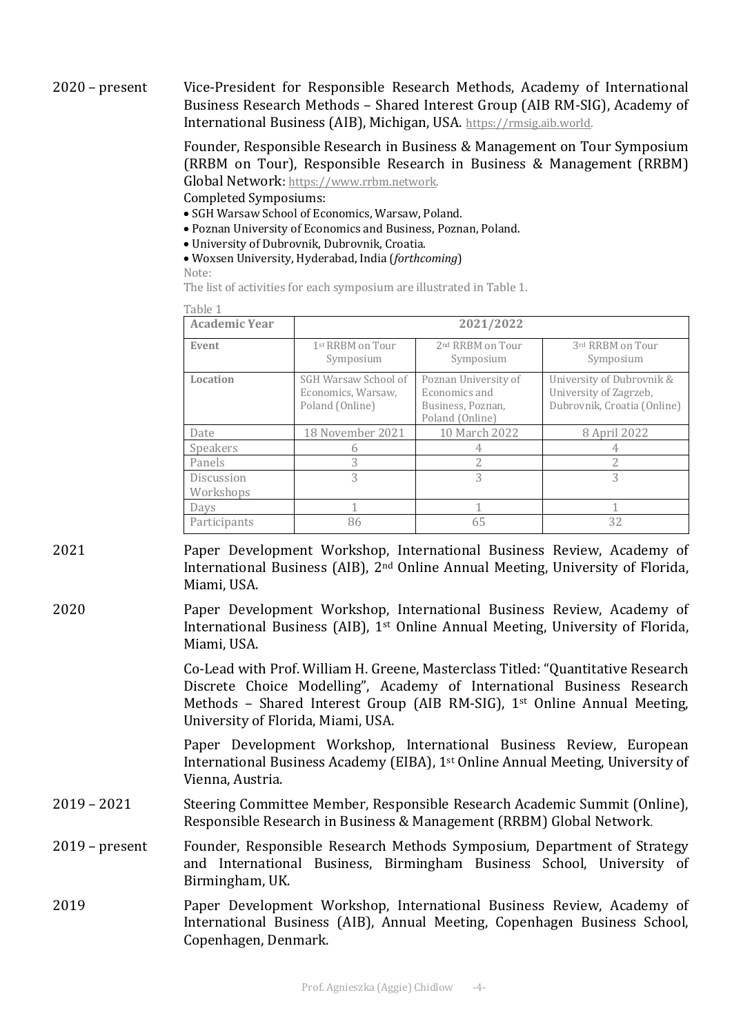2020 – present Vice-President for Responsible Research Methods, Academy of International Business Research Methods - Shared Interest Group (AIB RM-SIG), Academy of International Business (AIB), Michigan, USA. https://rmsig.aib.world.

> Founder, Responsible Research in Business & Management on Tour Symposium (RRBM on Tour), Responsible Research in Business & Management (RRBM) Global Network: https://www.rrbm.network.

Completed Symposiums:

- SGH Warsaw School of Economics, Warsaw, Poland.
- Poznan University of Economics and Business, Poznan, Poland.
- University of Dubrovnik, Dubrovnik, Croatia.
- Woxsen University, Hyderabad, India (*forthcoming*)

Note:

The list of activities for each symposium are illustrated in Table 1.

| <b>Academic Year</b>    |                                                               | 2021/2022                                                                     |                                                                                    |
|-------------------------|---------------------------------------------------------------|-------------------------------------------------------------------------------|------------------------------------------------------------------------------------|
| Event                   | 1st RRBM on Tour<br>Symposium                                 | 2 <sup>nd</sup> RRBM on Tour<br>Symposium                                     | 3rd RRBM on Tour<br>Symposium                                                      |
| Location                | SGH Warsaw School of<br>Economics, Warsaw,<br>Poland (Online) | Poznan University of<br>Economics and<br>Business, Poznan,<br>Poland (Online) | University of Dubrovnik &<br>University of Zagrzeb,<br>Dubrovnik, Croatia (Online) |
| Date                    | 18 November 2021                                              | 10 March 2022                                                                 | 8 April 2022                                                                       |
| Speakers                | 6                                                             | 4                                                                             | 4                                                                                  |
| Panels                  | 3                                                             | 2                                                                             | 2                                                                                  |
| Discussion<br>Workshops | 3                                                             | 3                                                                             | 3                                                                                  |
| Days                    |                                                               |                                                                               |                                                                                    |
| Participants            | 86                                                            | 65                                                                            | 32                                                                                 |

2021 **Paper Development Workshop, International Business Review, Academy of** International Business (AIB),  $2<sup>nd</sup>$  Online Annual Meeting, University of Florida, Miami, USA.

2020 **Paper Development Workshop, International Business Review, Academy of** International Business (AIB),  $1<sup>st</sup>$  Online Annual Meeting, University of Florida, Miami, USA.

> Co-Lead with Prof. William H. Greene, Masterclass Titled: "Quantitative Research Discrete Choice Modelling", Academy of International Business Research Methods – Shared Interest Group (AIB RM-SIG),  $1^{st}$  Online Annual Meeting, University of Florida, Miami, USA.

> Paper Development Workshop, International Business Review, European International Business Academy (EIBA), 1<sup>st</sup> Online Annual Meeting, University of Vienna, Austria.

- 2019 2021 Steering Committee Member, Responsible Research Academic Summit (Online), Responsible Research in Business & Management (RRBM) Global Network.
- 2019 present Founder, Responsible Research Methods Symposium, Department of Strategy and International Business, Birmingham Business School, University of Birmingham, UK.
- 2019 **Paper Development Workshop, International Business Review, Academy of** International Business (AIB), Annual Meeting, Copenhagen Business School, Copenhagen, Denmark.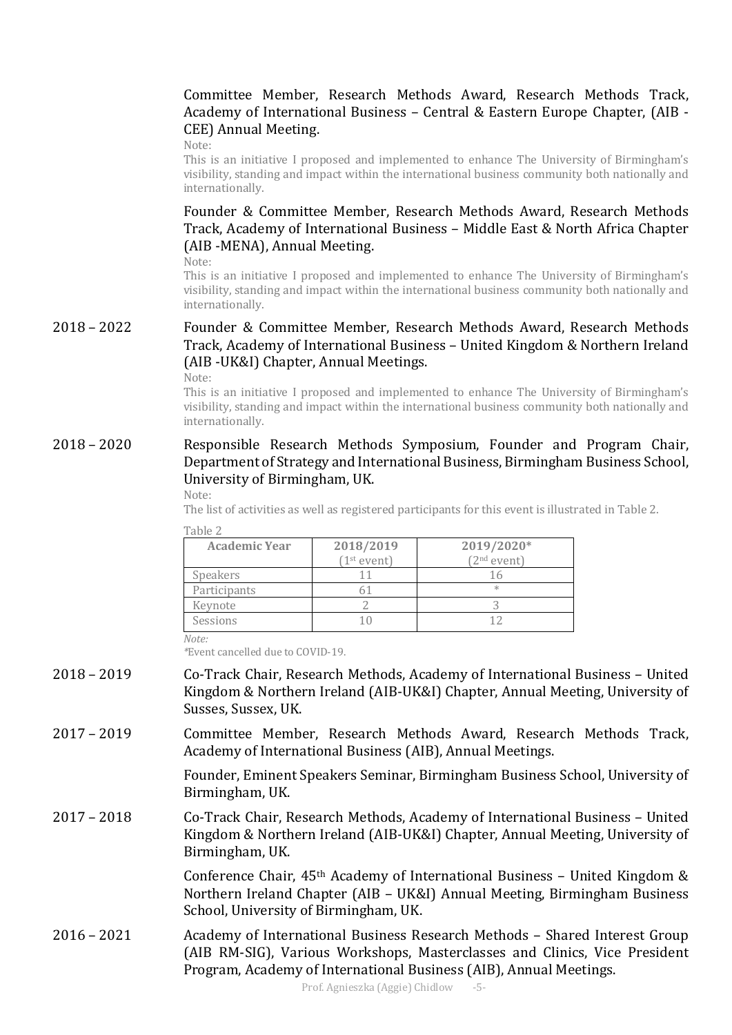### Committee Member, Research Methods Award, Research Methods Track, Academy of International Business - Central & Eastern Europe Chapter, (AIB -CEE) Annual Meeting.

Note:

This is an initiative I proposed and implemented to enhance The University of Birmingham's visibility, standing and impact within the international business community both nationally and internationally. 

Founder & Committee Member, Research Methods Award, Research Methods Track, Academy of International Business - Middle East & North Africa Chapter (AIB -MENA), Annual Meeting.

Note:

This is an initiative I proposed and implemented to enhance The University of Birmingham's visibility, standing and impact within the international business community both nationally and internationally. 

### 2018 – 2022 Founder & Committee Member, Research Methods Award, Research Methods Track, Academy of International Business – United Kingdom & Northern Ireland (AIB -UK&I) Chapter, Annual Meetings.

Note:

This is an initiative I proposed and implemented to enhance The University of Birmingham's visibility, standing and impact within the international business community both nationally and internationally. 

#### 2018 – 2020 Responsible Research Methods Symposium, Founder and Program Chair, Department of Strategy and International Business, Birmingham Business School, University of Birmingham, UK.

#### Note:

The list of activities as well as registered participants for this event is illustrated in Table 2.

| ____ |  |
|------|--|
|------|--|

| <b>Academic Year</b> | 2018/2019<br>(1 <sup>st</sup> event) | 2019/2020*<br>(2 <sup>nd</sup> event) |
|----------------------|--------------------------------------|---------------------------------------|
| <b>Speakers</b>      |                                      |                                       |
| Participants         |                                      | ж                                     |
| Keynote              |                                      |                                       |
| Sessions             |                                      |                                       |

*Note:* 

*\**Event cancelled due to COVID-19.

- 2018 2019 Co-Track Chair, Research Methods, Academy of International Business United Kingdom & Northern Ireland (AIB-UK&I) Chapter, Annual Meeting, University of Susses, Sussex, UK.
- 2017 2019 Committee Member, Research Methods Award, Research Methods Track, Academy of International Business (AIB), Annual Meetings.

Founder, Eminent Speakers Seminar, Birmingham Business School, University of Birmingham, UK.

2017 – 2018 Co-Track Chair, Research Methods, Academy of International Business – United Kingdom & Northern Ireland (AIB-UK&I) Chapter, Annual Meeting, University of Birmingham, UK.

> Conference Chair,  $45<sup>th</sup>$  Academy of International Business – United Kingdom & Northern Ireland Chapter (AIB - UK&I) Annual Meeting, Birmingham Business School, University of Birmingham, UK.

2016 - 2021 Academy of International Business Research Methods - Shared Interest Group (AIB RM-SIG), Various Workshops, Masterclasses and Clinics, Vice President Program, Academy of International Business (AIB), Annual Meetings.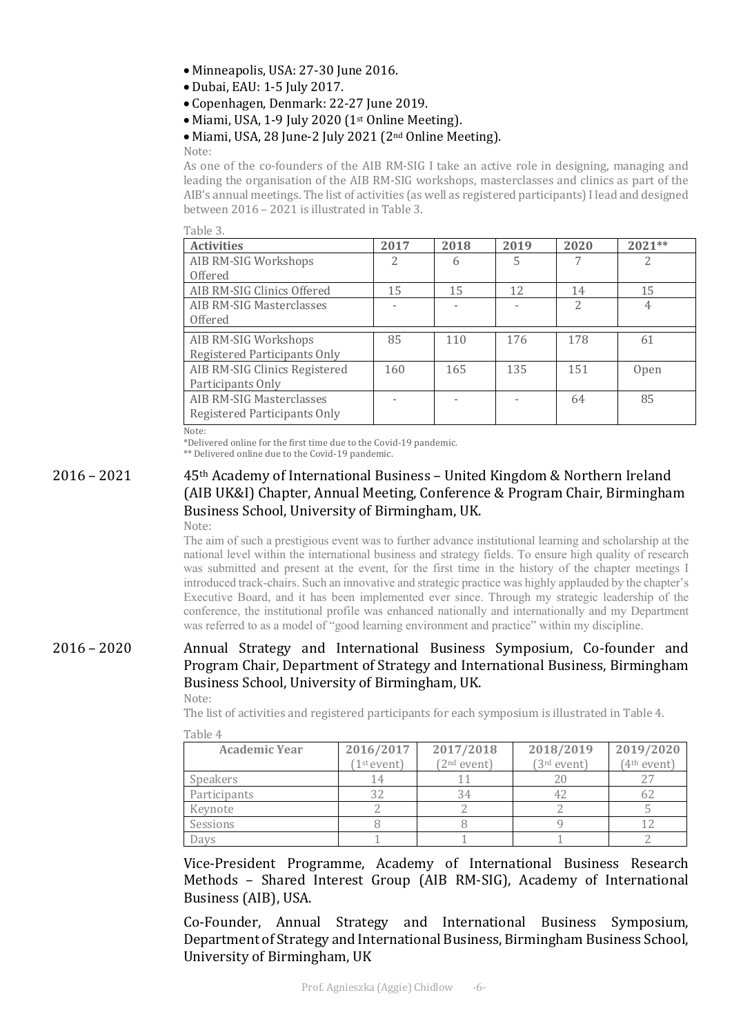- Minneapolis, USA: 27-30 June 2016.
- · Dubai, EAU: 1-5 July 2017.
- Copenhagen, Denmark: 22-27 June 2019.
- Miami, USA, 1-9 July 2020  $(1<sup>st</sup>$  Online Meeting).
- Miami, USA, 28 June-2 July 2021 (2<sup>nd</sup> Online Meeting).

Note: 

As one of the co-founders of the AIB RM-SIG I take an active role in designing, managing and leading the organisation of the AIB RM-SIG workshops, masterclasses and clinics as part of the AIB's annual meetings. The list of activities (as well as registered participants) I lead and designed between  $2016 - 2021$  is illustrated in Table 3.

 $Table 3$ 

| t upic of                                                   |      |      |      |                |             |
|-------------------------------------------------------------|------|------|------|----------------|-------------|
| <b>Activities</b>                                           | 2017 | 2018 | 2019 | 2020           | $2021**$    |
| AIB RM-SIG Workshops                                        | 2    | 6    | 5    |                | 2           |
| Offered                                                     |      |      |      |                |             |
| AIB RM-SIG Clinics Offered                                  | 15   | 15   | 12   | 14             | 15          |
| AIB RM-SIG Masterclasses                                    |      |      |      | $\overline{2}$ | 4           |
| Offered                                                     |      |      |      |                |             |
| AIB RM-SIG Workshops<br><b>Registered Participants Only</b> | 85   | 110  | 176  | 178            | 61          |
| AIB RM-SIG Clinics Registered<br>Participants Only          | 160  | 165  | 135  | 151            | <b>Open</b> |
| AIB RM-SIG Masterclasses<br>Registered Participants Only    |      |      |      | 64             | 85          |
| $N \sim + \sim$                                             |      |      |      |                |             |

Note: 

\*Delivered online for the first time due to the Covid-19 pandemic.

\*\* Delivered online due to the Covid-19 pandemic.

#### $2016 - 2021$  45<sup>th</sup> Academy of International Business – United Kingdom & Northern Ireland (AIB UK&I) Chapter, Annual Meeting, Conference & Program Chair, Birmingham Business School, University of Birmingham, UK. Note:

The aim of such a prestigious event was to further advance institutional learning and scholarship at the national level within the international business and strategy fields. To ensure high quality of research was submitted and present at the event, for the first time in the history of the chapter meetings I introduced track-chairs. Such an innovative and strategic practice was highly applauded by the chapter's Executive Board, and it has been implemented ever since. Through my strategic leadership of the conference, the institutional profile was enhanced nationally and internationally and my Department was referred to as a model of "good learning environment and practice" within my discipline.

### 2016 - 2020 Annual Strategy and International Business Symposium, Co-founder and Program Chair, Department of Strategy and International Business, Birmingham Business School, University of Birmingham, UK.

Note:

The list of activities and registered participants for each symposium is illustrated in Table 4.

| <b>Academic Year</b> | 2016/2017               | 2017/2018               | 2018/2019               | 2019/2020              |
|----------------------|-------------------------|-------------------------|-------------------------|------------------------|
|                      | (1 <sup>st</sup> event) | (2 <sup>nd</sup> event) | (3 <sup>rd</sup> event) | 4 <sup>th</sup> event) |
| <b>Speakers</b>      | 14                      |                         |                         |                        |
| Participants         | 32                      | 34                      | 42                      |                        |
| Keynote              |                         |                         |                         |                        |
| Sessions             |                         |                         |                         |                        |
| Days                 |                         |                         |                         |                        |

Table 4

Vice-President Programme, Academy of International Business Research Methods - Shared Interest Group (AIB RM-SIG), Academy of International Business (AIB), USA.

Co-Founder, Annual Strategy and International Business Symposium, Department of Strategy and International Business, Birmingham Business School, University of Birmingham, UK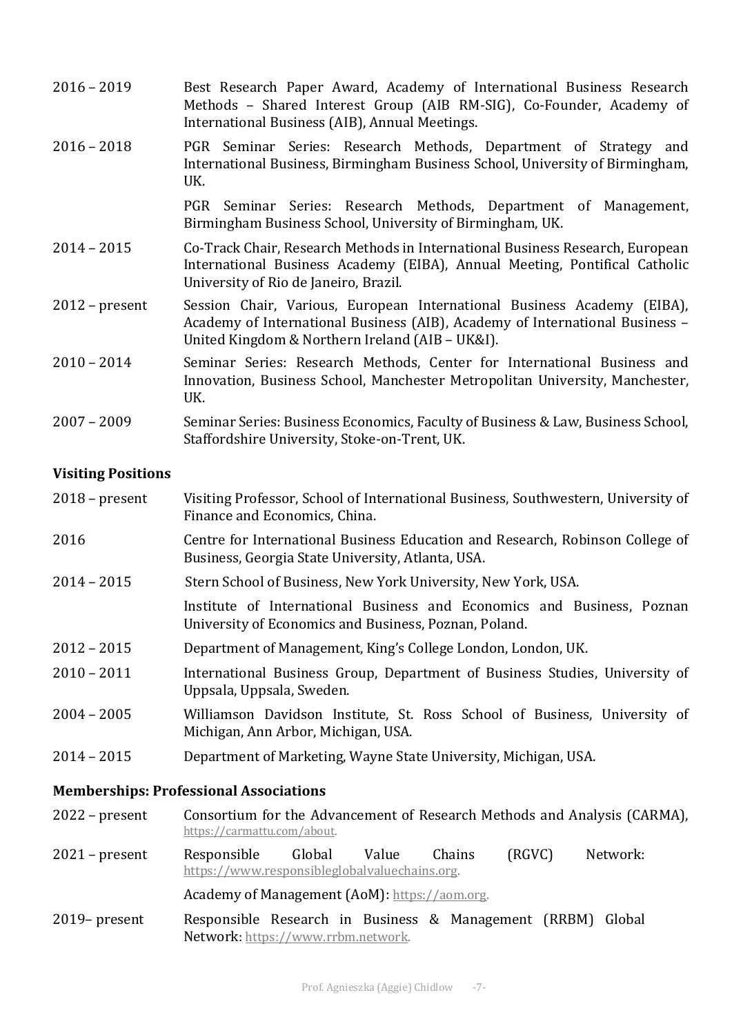| $2016 - 2019$    | Best Research Paper Award, Academy of International Business Research<br>Methods - Shared Interest Group (AIB RM-SIG), Co-Founder, Academy of<br>International Business (AIB), Annual Meetings.            |
|------------------|------------------------------------------------------------------------------------------------------------------------------------------------------------------------------------------------------------|
| $2016 - 2018$    | PGR Seminar Series: Research Methods, Department of Strategy and<br>International Business, Birmingham Business School, University of Birmingham,<br>UK.                                                   |
|                  | PGR Seminar Series: Research Methods, Department of Management,<br>Birmingham Business School, University of Birmingham, UK.                                                                               |
| $2014 - 2015$    | Co-Track Chair, Research Methods in International Business Research, European<br>International Business Academy (EIBA), Annual Meeting, Pontifical Catholic<br>University of Rio de Janeiro, Brazil.       |
| $2012$ – present | Session Chair, Various, European International Business Academy (EIBA),<br>Academy of International Business (AIB), Academy of International Business -<br>United Kingdom & Northern Ireland (AIB - UK&I). |
| $2010 - 2014$    | Seminar Series: Research Methods, Center for International Business and<br>Innovation, Business School, Manchester Metropolitan University, Manchester,<br>UK.                                             |
| $2007 - 2009$    | Seminar Series: Business Economics, Faculty of Business & Law, Business School,<br>Staffordshire University, Stoke-on-Trent, UK.                                                                           |

#### **Visiting Positions**

| $2018$ – present | Visiting Professor, School of International Business, Southwestern, University of |
|------------------|-----------------------------------------------------------------------------------|
|                  | Finance and Economics, China.                                                     |

- 2016 Centre for International Business Education and Research, Robinson College of Business, Georgia State University, Atlanta, USA.
- 2014 2015 Stern School of Business, New York University, New York, USA.

Institute of International Business and Economics and Business, Poznan University of Economics and Business, Poznan, Poland.

- 2012 2015 Department of Management, King's College London, London, UK.
- 2010 2011 **International Business Group, Department of Business Studies, University of** Uppsala, Uppsala, Sweden.
- 2004 2005 Williamson Davidson Institute, St. Ross School of Business, University of Michigan, Ann Arbor, Michigan, USA.
- 2014 2015 Department of Marketing, Wayne State University, Michigan, USA.

#### **Memberships: Professional Associations**

- 2022 present Consortium for the Advancement of Research Methods and Analysis (CARMA), https://carmattu.com/about.
- 2021 present Responsible Global Value Chains (RGVC) Network: https://www.responsibleglobalvaluechains.org.

#### Academy of Management (AoM): https://aom.org.

2019– present Responsible Research in Business & Management (RRBM) Global Network: https://www.rrbm.network.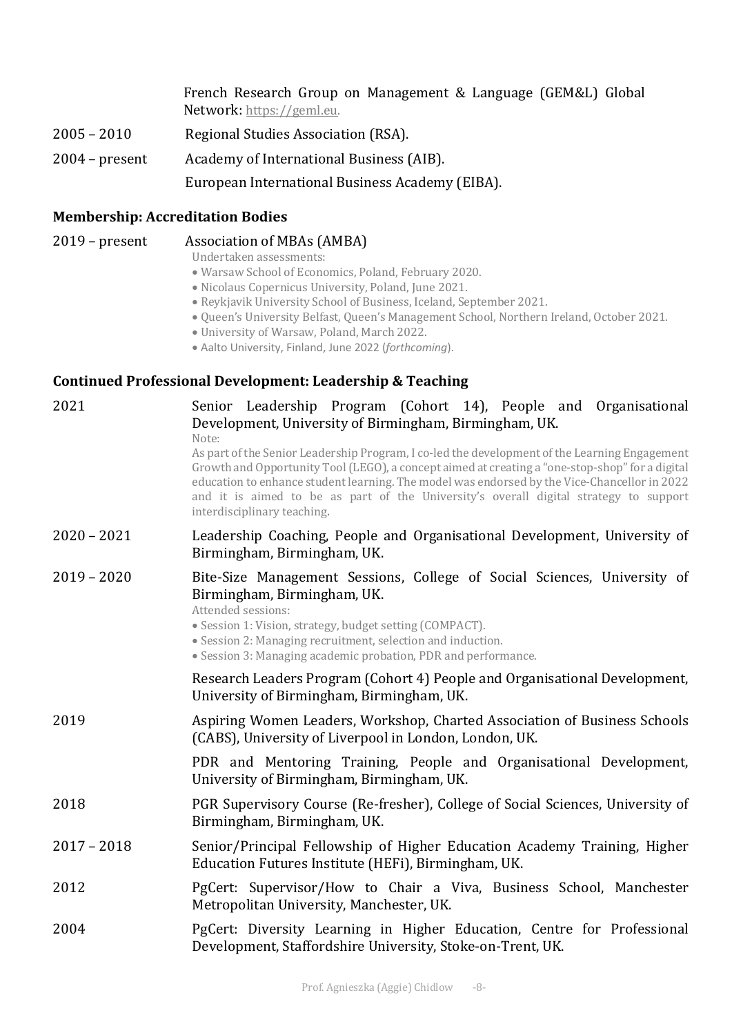|                  | French Research Group on Management & Language (GEM&L) Global<br>Network: https://geml.eu. |
|------------------|--------------------------------------------------------------------------------------------|
| $2005 - 2010$    | Regional Studies Association (RSA).                                                        |
| $2004$ – present | Academy of International Business (AIB).                                                   |
|                  | European International Business Academy (EIBA).                                            |

# **Membership: Accreditation Bodies**

| $2019$ – present | Association of MBAs (AMBA)<br>Undertaken assessments:<br>· Warsaw School of Economics, Poland, February 2020.<br>· Nicolaus Copernicus University, Poland, June 2021.<br>· Reykjavik University School of Business, Iceland, September 2021.<br>. Queen's University Belfast, Queen's Management School, Northern Ireland, October 2021<br>· University of Warsaw, Poland, March 2022.<br>· Aalto University, Finland, June 2022 (forthcoming). |
|------------------|-------------------------------------------------------------------------------------------------------------------------------------------------------------------------------------------------------------------------------------------------------------------------------------------------------------------------------------------------------------------------------------------------------------------------------------------------|
|                  | <b>Continued Professional Development: Leadership &amp; Teaching</b>                                                                                                                                                                                                                                                                                                                                                                            |
| 2021             | Senior Leadership Program (Cohort 14), People and Organisational<br>Development, University of Birmingham, Birmingham, UK.<br>Note:<br>As part of the Senior Leadership Program, I co-led the development of the Learning Engagement<br>Growth and Opportunity Tool (LEGO), a concept aimed at creating a "one-stop-shop" for a digital<br>education to enhance student learning. The model was endorsed by the Vice-Chancellor in 2022         |
|                  | and it is aimed to be as part of the University's overall digital strategy to support<br>interdisciplinary teaching.                                                                                                                                                                                                                                                                                                                            |
| $2020 - 2021$    | Leadership Coaching, People and Organisational Development, University of<br>Birmingham, Birmingham, UK.                                                                                                                                                                                                                                                                                                                                        |
| $2019 - 2020$    | Bite-Size Management Sessions, College of Social Sciences, University of<br>Birmingham, Birmingham, UK.<br>Attended sessions:<br>• Session 1: Vision, strategy, budget setting (COMPACT).<br>• Session 2: Managing recruitment, selection and induction.<br>• Session 3: Managing academic probation, PDR and performance.                                                                                                                      |
|                  | Research Leaders Program (Cohort 4) People and Organisational Development,<br>University of Birmingham, Birmingham, UK.                                                                                                                                                                                                                                                                                                                         |
| 2019             | Aspiring Women Leaders, Workshop, Charted Association of Business Schools<br>(CABS), University of Liverpool in London, London, UK.                                                                                                                                                                                                                                                                                                             |
|                  | PDR and Mentoring Training, People and Organisational Development,<br>University of Birmingham, Birmingham, UK.                                                                                                                                                                                                                                                                                                                                 |
| 2018             | PGR Supervisory Course (Re-fresher), College of Social Sciences, University of<br>Birmingham, Birmingham, UK.                                                                                                                                                                                                                                                                                                                                   |
| $2017 - 2018$    | Senior/Principal Fellowship of Higher Education Academy Training, Higher<br>Education Futures Institute (HEFi), Birmingham, UK.                                                                                                                                                                                                                                                                                                                 |
| 2012             | PgCert: Supervisor/How to Chair a Viva, Business School, Manchester<br>Metropolitan University, Manchester, UK.                                                                                                                                                                                                                                                                                                                                 |
| 2004             | PgCert: Diversity Learning in Higher Education, Centre for Professional<br>Development, Staffordshire University, Stoke-on-Trent, UK.                                                                                                                                                                                                                                                                                                           |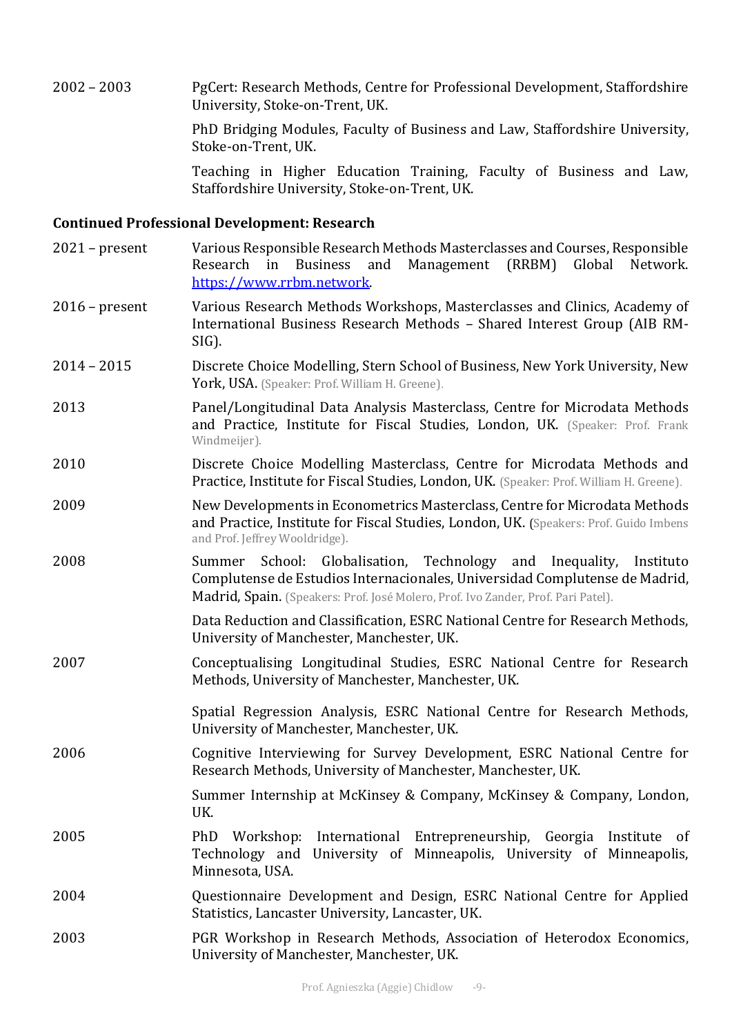2002 – 2003 PgCert: Research Methods, Centre for Professional Development, Staffordshire University, Stoke-on-Trent, UK.

> PhD Bridging Modules, Faculty of Business and Law, Staffordshire University, Stoke-on-Trent, UK.

> Teaching in Higher Education Training, Faculty of Business and Law, Staffordshire University, Stoke-on-Trent, UK.

### **Continued Professional Development: Research**

| $2021$ – present | Various Responsible Research Methods Masterclasses and Courses, Responsible<br>(RRBM)<br>Global<br>in<br><b>Business</b><br>and<br>Management<br>Network.<br>Research<br>https://www.rrbm.network.                                              |
|------------------|-------------------------------------------------------------------------------------------------------------------------------------------------------------------------------------------------------------------------------------------------|
| $2016$ – present | Various Research Methods Workshops, Masterclasses and Clinics, Academy of<br>International Business Research Methods - Shared Interest Group (AIB RM-<br>$SIG$ ).                                                                               |
| $2014 - 2015$    | Discrete Choice Modelling, Stern School of Business, New York University, New<br>York, USA. (Speaker: Prof. William H. Greene).                                                                                                                 |
| 2013             | Panel/Longitudinal Data Analysis Masterclass, Centre for Microdata Methods<br>and Practice, Institute for Fiscal Studies, London, UK. (Speaker: Prof. Frank<br>Windmeijer).                                                                     |
| 2010             | Discrete Choice Modelling Masterclass, Centre for Microdata Methods and<br>Practice, Institute for Fiscal Studies, London, UK. (Speaker: Prof. William H. Greene).                                                                              |
| 2009             | New Developments in Econometrics Masterclass, Centre for Microdata Methods<br>and Practice, Institute for Fiscal Studies, London, UK. (Speakers: Prof. Guido Imbens<br>and Prof. Jeffrey Wooldridge).                                           |
| 2008             | Globalisation, Technology and Inequality,<br>School:<br>Instituto<br>Summer<br>Complutense de Estudios Internacionales, Universidad Complutense de Madrid,<br>Madrid, Spain. (Speakers: Prof. José Molero, Prof. Ivo Zander, Prof. Pari Patel). |
|                  | Data Reduction and Classification, ESRC National Centre for Research Methods,<br>University of Manchester, Manchester, UK.                                                                                                                      |
| 2007             | Conceptualising Longitudinal Studies, ESRC National Centre for Research<br>Methods, University of Manchester, Manchester, UK.                                                                                                                   |
|                  | Spatial Regression Analysis, ESRC National Centre for Research Methods,<br>University of Manchester, Manchester, UK.                                                                                                                            |
| 2006             | Cognitive Interviewing for Survey Development, ESRC National Centre for<br>Research Methods, University of Manchester, Manchester, UK.                                                                                                          |
|                  | Summer Internship at McKinsey & Company, McKinsey & Company, London,<br>UK.                                                                                                                                                                     |
| 2005             | Workshop: International Entrepreneurship, Georgia Institute<br>PhD<br>- of<br>Technology and University of Minneapolis, University of Minneapolis,<br>Minnesota, USA.                                                                           |
| 2004             | Questionnaire Development and Design, ESRC National Centre for Applied<br>Statistics, Lancaster University, Lancaster, UK.                                                                                                                      |
| 2003             | PGR Workshop in Research Methods, Association of Heterodox Economics,<br>University of Manchester, Manchester, UK.                                                                                                                              |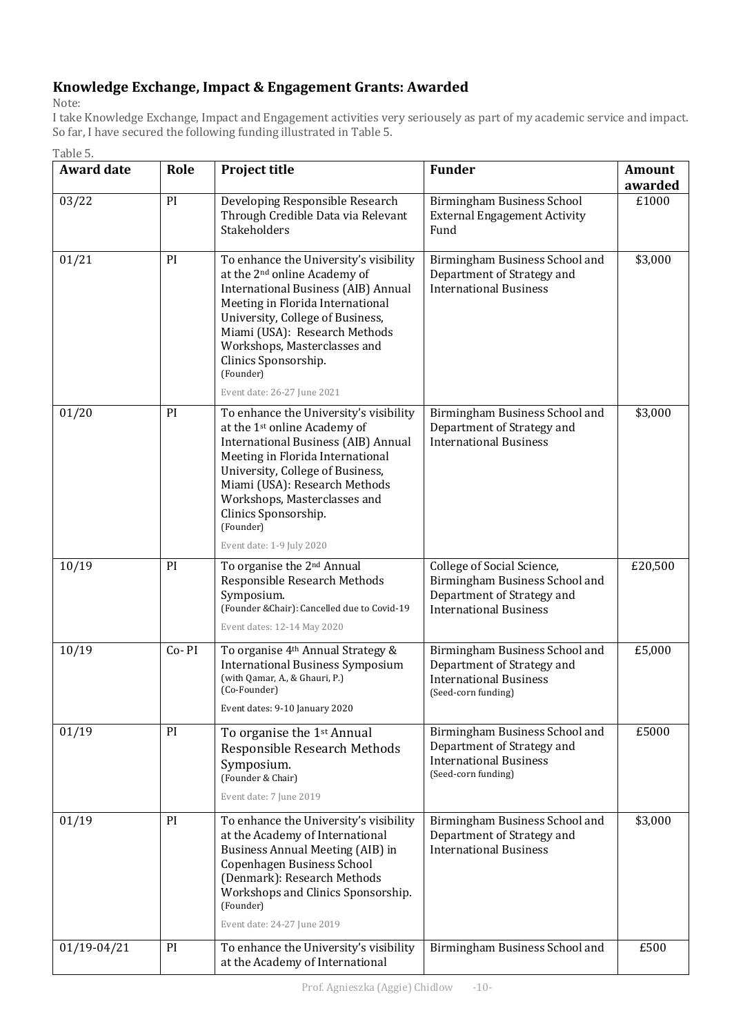### Knowledge Exchange, Impact & Engagement Grants: Awarded

Note: 

Table 5.

I take Knowledge Exchange, Impact and Engagement activities very seriousely as part of my academic service and impact. So far, I have secured the following funding illustrated in Table 5.

| <b>Award date</b> | Role  | <b>Project title</b>                                                                                                                                                                                                                                                                                                                          | <b>Funder</b>                                                                                                               | <b>Amount</b><br>awarded |
|-------------------|-------|-----------------------------------------------------------------------------------------------------------------------------------------------------------------------------------------------------------------------------------------------------------------------------------------------------------------------------------------------|-----------------------------------------------------------------------------------------------------------------------------|--------------------------|
| 03/22             | PI    | Developing Responsible Research<br>Through Credible Data via Relevant<br>Stakeholders                                                                                                                                                                                                                                                         | Birmingham Business School<br><b>External Engagement Activity</b><br>Fund                                                   | £1000                    |
| 01/21             | PI    | To enhance the University's visibility<br>at the 2 <sup>nd</sup> online Academy of<br><b>International Business (AIB) Annual</b><br>Meeting in Florida International<br>University, College of Business,<br>Miami (USA): Research Methods<br>Workshops, Masterclasses and<br>Clinics Sponsorship.<br>(Founder)<br>Event date: 26-27 June 2021 | Birmingham Business School and<br>Department of Strategy and<br><b>International Business</b>                               | \$3,000                  |
| 01/20             | PI    | To enhance the University's visibility<br>at the 1 <sup>st</sup> online Academy of<br>International Business (AIB) Annual<br>Meeting in Florida International<br>University, College of Business,<br>Miami (USA): Research Methods<br>Workshops, Masterclasses and<br>Clinics Sponsorship.<br>(Founder)<br>Event date: 1-9 July 2020          | Birmingham Business School and<br>Department of Strategy and<br><b>International Business</b>                               | \$3,000                  |
| 10/19             | PI    | To organise the 2 <sup>nd</sup> Annual<br>Responsible Research Methods<br>Symposium.<br>(Founder & Chair): Cancelled due to Covid-19<br>Event dates: 12-14 May 2020                                                                                                                                                                           | College of Social Science,<br>Birmingham Business School and<br>Department of Strategy and<br><b>International Business</b> | £20,500                  |
| 10/19             | Co-PI | To organise 4 <sup>th</sup> Annual Strategy &<br><b>International Business Symposium</b><br>(with Qamar, A., & Ghauri, P.)<br>(Co-Founder)<br>Event dates: 9-10 January 2020                                                                                                                                                                  | Birmingham Business School and<br>Department of Strategy and<br><b>International Business</b><br>(Seed-corn funding)        | £5,000                   |
| 01/19             | PI    | To organise the 1 <sup>st</sup> Annual<br>Responsible Research Methods<br>Symposium.<br>(Founder & Chair)<br>Event date: 7 June 2019                                                                                                                                                                                                          | Birmingham Business School and<br>Department of Strategy and<br><b>International Business</b><br>(Seed-corn funding)        | £5000                    |
| 01/19             | PI    | To enhance the University's visibility<br>at the Academy of International<br><b>Business Annual Meeting (AIB) in</b><br>Copenhagen Business School<br>(Denmark): Research Methods<br>Workshops and Clinics Sponsorship.<br>(Founder)<br>Event date: 24-27 June 2019                                                                           | Birmingham Business School and<br>Department of Strategy and<br><b>International Business</b>                               | \$3,000                  |
| $01/19 - 04/21$   | PI    | To enhance the University's visibility                                                                                                                                                                                                                                                                                                        | Birmingham Business School and                                                                                              | £500                     |

at the Academy of International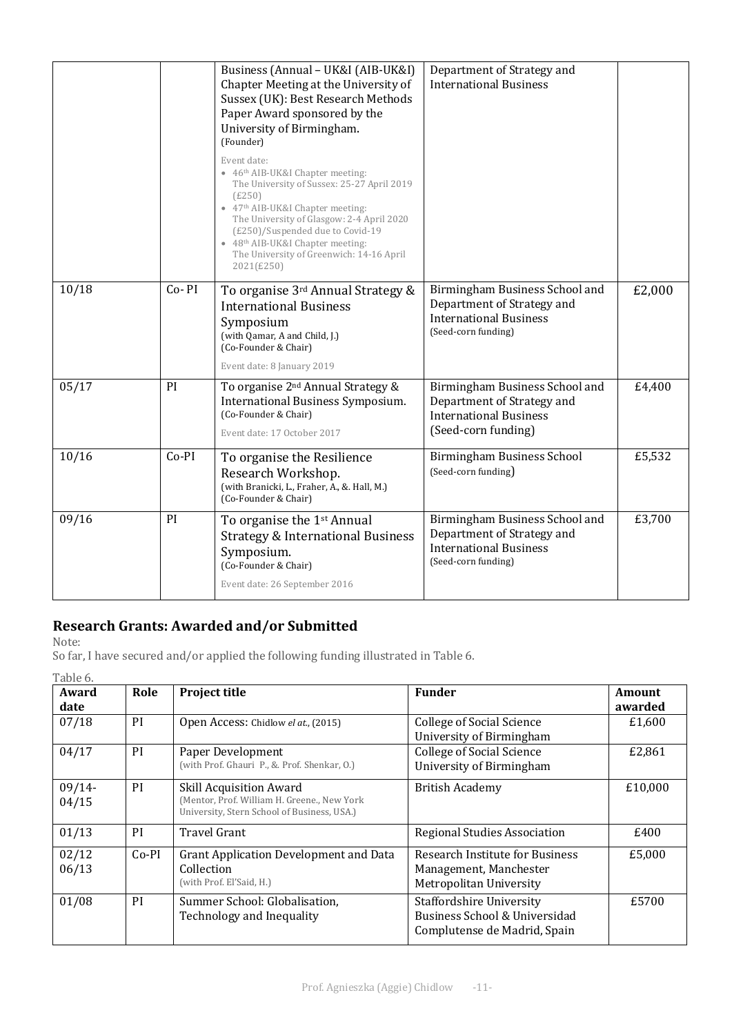|       |         | Business (Annual - UK&I (AIB-UK&I)<br>Chapter Meeting at the University of<br>Sussex (UK): Best Research Methods<br>Paper Award sponsored by the<br>University of Birmingham.<br>(Founder)<br>Event date:<br>• 46th AIB-UK&I Chapter meeting:<br>The University of Sussex: 25-27 April 2019<br>(E250)<br>• 47 <sup>th</sup> AIB-UK&I Chapter meeting:<br>The University of Glasgow: 2-4 April 2020<br>(£250)/Suspended due to Covid-19<br>• 48 <sup>th</sup> AIB-UK&I Chapter meeting:<br>The University of Greenwich: 14-16 April<br>2021(£250) | Department of Strategy and<br><b>International Business</b>                                                          |        |
|-------|---------|--------------------------------------------------------------------------------------------------------------------------------------------------------------------------------------------------------------------------------------------------------------------------------------------------------------------------------------------------------------------------------------------------------------------------------------------------------------------------------------------------------------------------------------------------|----------------------------------------------------------------------------------------------------------------------|--------|
| 10/18 | Co-PI   | To organise 3rd Annual Strategy &<br><b>International Business</b><br>Symposium<br>(with Qamar, A and Child, J.)<br>(Co-Founder & Chair)<br>Event date: 8 January 2019                                                                                                                                                                                                                                                                                                                                                                           | Birmingham Business School and<br>Department of Strategy and<br><b>International Business</b><br>(Seed-corn funding) | £2,000 |
| 05/17 | PI      | To organise 2 <sup>nd</sup> Annual Strategy &<br><b>International Business Symposium.</b><br>(Co-Founder & Chair)<br>Event date: 17 October 2017                                                                                                                                                                                                                                                                                                                                                                                                 | Birmingham Business School and<br>Department of Strategy and<br><b>International Business</b><br>(Seed-corn funding) | £4,400 |
| 10/16 | $Co-PI$ | To organise the Resilience<br>Research Workshop.<br>(with Branicki, L., Fraher, A., &. Hall, M.)<br>(Co-Founder & Chair)                                                                                                                                                                                                                                                                                                                                                                                                                         | Birmingham Business School<br>(Seed-corn funding)                                                                    | £5,532 |
| 09/16 | PI      | To organise the 1st Annual<br><b>Strategy &amp; International Business</b><br>Symposium.<br>(Co-Founder & Chair)<br>Event date: 26 September 2016                                                                                                                                                                                                                                                                                                                                                                                                | Birmingham Business School and<br>Department of Strategy and<br><b>International Business</b><br>(Seed-corn funding) | £3,700 |

### **Research Grants: Awarded and/or Submitted**

| Award<br>date     | Role    | <b>Project title</b>                                                                                                         | <b>Funder</b>                                                                                    | Amount<br>awarded |
|-------------------|---------|------------------------------------------------------------------------------------------------------------------------------|--------------------------------------------------------------------------------------------------|-------------------|
| 07/18             | PI      | Open Access: Chidlow el at., (2015)                                                                                          | <b>College of Social Science</b><br>University of Birmingham                                     | £1,600            |
| 04/17             | PI      | Paper Development<br>(with Prof. Ghauri P., &. Prof. Shenkar, O.)                                                            | <b>College of Social Science</b><br>University of Birmingham                                     | £2,861            |
| $09/14-$<br>04/15 | PI      | <b>Skill Acquisition Award</b><br>(Mentor, Prof. William H. Greene., New York<br>University, Stern School of Business, USA.) | <b>British Academy</b>                                                                           | £10,000           |
| 01/13             | PI      | <b>Travel Grant</b>                                                                                                          | <b>Regional Studies Association</b>                                                              | £400              |
| 02/12<br>06/13    | $Co-PI$ | <b>Grant Application Development and Data</b><br>Collection<br>(with Prof. El'Said, H.)                                      | Research Institute for Business<br>Management, Manchester<br>Metropolitan University             | £5,000            |
| 01/08             | PI      | Summer School: Globalisation,<br>Technology and Inequality                                                                   | <b>Staffordshire University</b><br>Business School & Universidad<br>Complutense de Madrid, Spain | £5700             |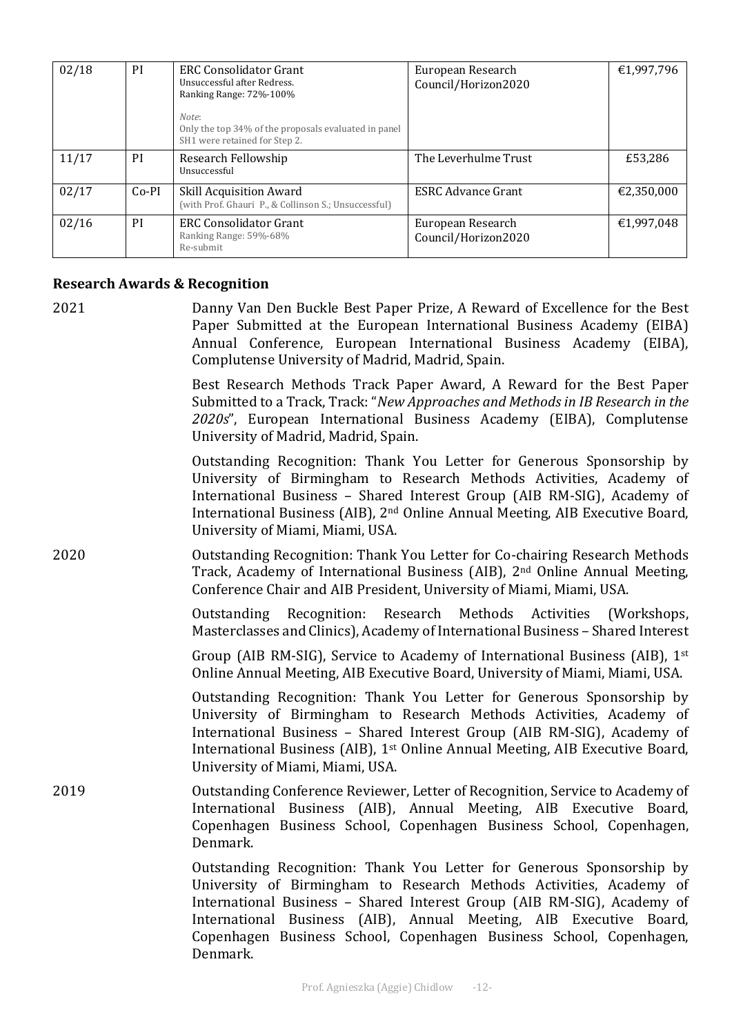| 02/18 | PI            | <b>ERC Consolidator Grant</b><br>Unsuccessful after Redress.<br>Ranking Range: 72%-100%<br>Note:<br>Only the top 34% of the proposals evaluated in panel | European Research<br>Council/Horizon2020 | €1,997,796 |
|-------|---------------|----------------------------------------------------------------------------------------------------------------------------------------------------------|------------------------------------------|------------|
|       |               | SH1 were retained for Step 2.                                                                                                                            |                                          |            |
| 11/17 | <sub>PI</sub> | Research Fellowship<br>Unsuccessful                                                                                                                      | The Leverhulme Trust                     | £53,286    |
| 02/17 | $Co-PI$       | <b>Skill Acquisition Award</b><br>(with Prof. Ghauri P., & Collinson S.; Unsuccessful)                                                                   | <b>ESRC Advance Grant</b>                | €2,350,000 |
| 02/16 | PI            | <b>ERC Consolidator Grant</b><br>Ranking Range: 59%-68%<br>Re-submit                                                                                     | European Research<br>Council/Horizon2020 | €1,997,048 |

#### **Research Awards & Recognition**

2021 **Danny Van Den Buckle Best Paper Prize, A Reward of Excellence for the Best** Paper Submitted at the European International Business Academy (EIBA) Annual Conference, European International Business Academy (EIBA), Complutense University of Madrid, Madrid, Spain.

> Best Research Methods Track Paper Award, A Reward for the Best Paper Submitted to a Track, Track: "*New Approaches and Methods in IB Research in the* 2020s", European International Business Academy (EIBA), Complutense University of Madrid, Madrid, Spain.

> Outstanding Recognition: Thank You Letter for Generous Sponsorship by University of Birmingham to Research Methods Activities, Academy of International Business - Shared Interest Group (AIB RM-SIG), Academy of International Business (AIB), 2<sup>nd</sup> Online Annual Meeting, AIB Executive Board, University of Miami, Miami, USA.

2020 **Dutstanding Recognition: Thank You Letter for Co-chairing Research Methods** Track, Academy of International Business (AIB),  $2<sup>nd</sup>$  Online Annual Meeting, Conference Chair and AIB President, University of Miami, Miami, USA.

> Outstanding Recognition: Research Methods Activities (Workshops, Masterclasses and Clinics), Academy of International Business - Shared Interest

> Group (AIB RM-SIG), Service to Academy of International Business (AIB),  $1^{st}$ Online Annual Meeting, AIB Executive Board, University of Miami, Miami, USA.

> Outstanding Recognition: Thank You Letter for Generous Sponsorship by University of Birmingham to Research Methods Activities, Academy of International Business - Shared Interest Group (AIB RM-SIG), Academy of International Business (AIB),  $1<sup>st</sup>$  Online Annual Meeting, AIB Executive Board, University of Miami, Miami, USA.

2019 **COMEGO** Outstanding Conference Reviewer, Letter of Recognition, Service to Academy of International Business (AIB), Annual Meeting, AIB Executive Board, Copenhagen Business School, Copenhagen Business School, Copenhagen, Denmark. 

> Outstanding Recognition: Thank You Letter for Generous Sponsorship by University of Birmingham to Research Methods Activities, Academy of International Business - Shared Interest Group (AIB RM-SIG), Academy of International Business (AIB), Annual Meeting, AIB Executive Board, Copenhagen Business School, Copenhagen Business School, Copenhagen, Denmark.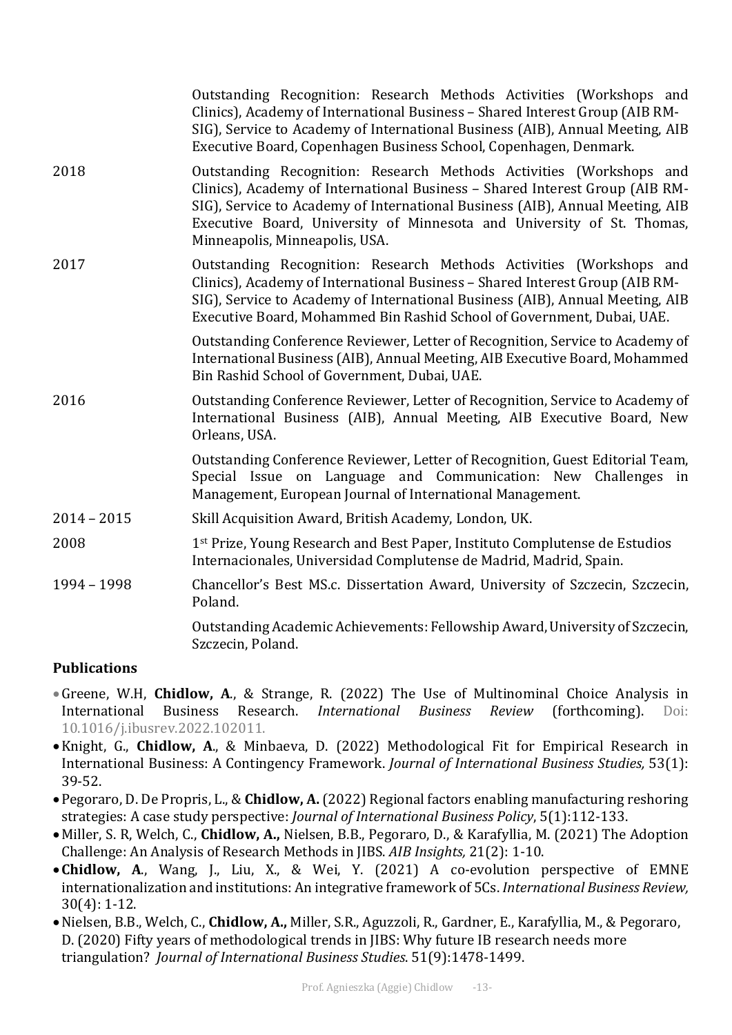|               | Outstanding Recognition: Research Methods Activities (Workshops and<br>Clinics), Academy of International Business - Shared Interest Group (AIB RM-<br>SIG), Service to Academy of International Business (AIB), Annual Meeting, AIB<br>Executive Board, Copenhagen Business School, Copenhagen, Denmark.                                        |
|---------------|--------------------------------------------------------------------------------------------------------------------------------------------------------------------------------------------------------------------------------------------------------------------------------------------------------------------------------------------------|
| 2018          | Outstanding Recognition: Research Methods Activities (Workshops and<br>Clinics), Academy of International Business - Shared Interest Group (AIB RM-<br>SIG), Service to Academy of International Business (AIB), Annual Meeting, AIB<br>Executive Board, University of Minnesota and University of St. Thomas,<br>Minneapolis, Minneapolis, USA. |
| 2017          | Outstanding Recognition: Research Methods Activities (Workshops and<br>Clinics), Academy of International Business - Shared Interest Group (AIB RM-<br>SIG), Service to Academy of International Business (AIB), Annual Meeting, AIB<br>Executive Board, Mohammed Bin Rashid School of Government, Dubai, UAE.                                   |
|               | Outstanding Conference Reviewer, Letter of Recognition, Service to Academy of<br>International Business (AIB), Annual Meeting, AIB Executive Board, Mohammed<br>Bin Rashid School of Government, Dubai, UAE.                                                                                                                                     |
| 2016          | Outstanding Conference Reviewer, Letter of Recognition, Service to Academy of<br>International Business (AIB), Annual Meeting, AIB Executive Board, New<br>Orleans, USA.                                                                                                                                                                         |
|               | Outstanding Conference Reviewer, Letter of Recognition, Guest Editorial Team,<br>Special Issue on Language and Communication: New Challenges in<br>Management, European Journal of International Management.                                                                                                                                     |
| $2014 - 2015$ | Skill Acquisition Award, British Academy, London, UK.                                                                                                                                                                                                                                                                                            |
| 2008          | 1st Prize, Young Research and Best Paper, Instituto Complutense de Estudios<br>Internacionales, Universidad Complutense de Madrid, Madrid, Spain.                                                                                                                                                                                                |
| 1994 - 1998   | Chancellor's Best MS.c. Dissertation Award, University of Szczecin, Szczecin,<br>Poland.                                                                                                                                                                                                                                                         |
|               | Outstanding Academic Achievements: Fellowship Award, University of Szczecin,<br>Szczecin, Poland.                                                                                                                                                                                                                                                |
|               |                                                                                                                                                                                                                                                                                                                                                  |

#### **Publications**

- •Greene, W.H, Chidlow, A., & Strange, R. (2022) The Use of Multinominal Choice Analysis in International Business Research. *International Business Review* (forthcoming). Doi: 10.1016/j.ibusrev.2022.102011.
- Knight, G., **Chidlow, A.**, & Minbaeva, D. (2022) Methodological Fit for Empirical Research in International Business: A Contingency Framework. *Journal of International Business Studies*, 53(1): 39-52.
- Pegoraro, D. De Propris, L., & **Chidlow, A.** (2022) Regional factors enabling manufacturing reshoring strategies: A case study perspective: *Journal of International Business Policy*, 5(1):112-133.
- Miller, S. R. Welch, C., **Chidlow, A.,** Nielsen, B.B., Pegoraro, D., & Karafyllia, M. (2021) The Adoption Challenge: An Analysis of Research Methods in JIBS. *AIB Insights*, 21(2): 1-10.
- Chidlow, A., Wang, J., Liu, X., & Wei, Y. (2021) A co-evolution perspective of EMNE internationalization and institutions: An integrative framework of 5Cs. *International Business Review*,  $30(4): 1-12.$
- Nielsen, B.B., Welch, C., **Chidlow, A.,** Miller, S.R., Aguzzoli, R., Gardner, E., Karafyllia, M., & Pegoraro, D. (2020) Fifty years of methodological trends in JIBS: Why future IB research needs more triangulation? *Journal of International Business Studies*. 51(9):1478-1499.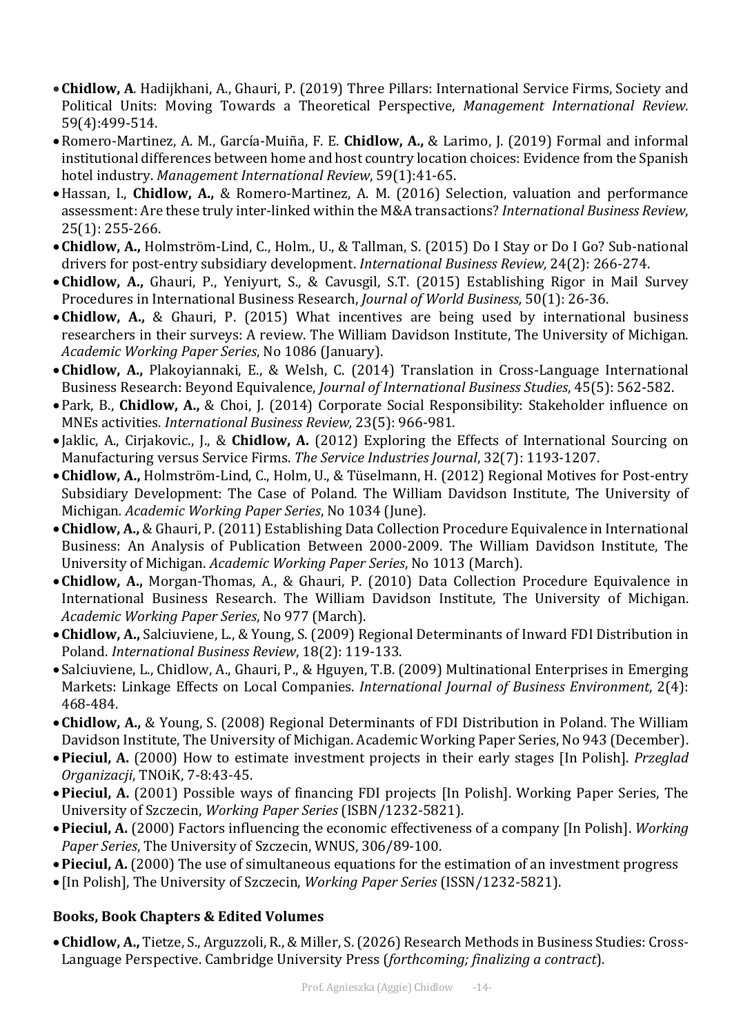- Chidlow, A. Hadijkhani, A., Ghauri, P. (2019) Three Pillars: International Service Firms, Society and Political Units: Moving Towards a Theoretical Perspective, *Management International Review.* 59(4):499-514.
- Romero-Martinez, A. M., García-Muiña, F. E. Chidlow, A., & Larimo, J. (2019) Formal and informal institutional differences between home and host country location choices: Evidence from the Spanish hotel industry. Management International Review, 59(1):41-65.
- Hassan, I., **Chidlow, A.,** & Romero-Martinez, A. M. (2016) Selection, valuation and performance assessment: Are these truly inter-linked within the M&A transactions? *International Business Review*, 25(1): 255-266.
- Chidlow, A., Holmström-Lind, C., Holm., U., & Tallman, S. (2015) Do I Stay or Do I Go? Sub-national drivers for post-entry subsidiary development. *International Business Review*, 24(2): 266-274.
- Chidlow, A., Ghauri, P., Yeniyurt, S., & Cavusgil, S.T. (2015) Establishing Rigor in Mail Survey Procedures in International Business Research, *Journal of World Business*, 50(1): 26-36.
- Chidlow, A., & Ghauri, P. (2015) What incentives are being used by international business researchers in their surveys: A review. The William Davidson Institute, The University of Michigan. *Academic Working Paper Series*, No 1086 (January).
- Chidlow, A., Plakoyiannaki, E., & Welsh, C. (2014) Translation in Cross-Language International Business Research: Beyond Equivalence, *Journal of International Business Studies*, 45(5): 562-582.
- Park, B., **Chidlow, A.,** & Choi, J. (2014) Corporate Social Responsibility: Stakeholder influence on MNEs activities. *International Business Review*, 23(5): 966-981.
- Jaklic, A., Cirjakovic., J., & **Chidlow, A.** (2012) Exploring the Effects of International Sourcing on Manufacturing versus Service Firms. The Service Industries Journal, 32(7): 1193-1207.
- Chidlow, A., Holmström-Lind, C., Holm, U., & Tüselmann, H. (2012) Regional Motives for Post-entry Subsidiary Development: The Case of Poland. The William Davidson Institute, The University of Michigan*. Academic Working Paper Series*, No 1034 (June).
- Chidlow, A., & Ghauri, P. (2011) Establishing Data Collection Procedure Equivalence in International Business: An Analysis of Publication Between 2000-2009. The William Davidson Institute, The University of Michigan. *Academic Working Paper Series*, No 1013 (March).
- Chidlow, A., Morgan-Thomas, A., & Ghauri, P. (2010) Data Collection Procedure Equivalence in International Business Research. The William Davidson Institute, The University of Michigan. *Academic Working Paper Series*, No 977 (March).
- Chidlow, A., Salciuviene, L., & Young, S. (2009) Regional Determinants of Inward FDI Distribution in Poland. *International Business Review*, 18(2): 119-133.
- Salciuviene, L., Chidlow, A., Ghauri, P., & Hguyen, T.B. (2009) Multinational Enterprises in Emerging Markets: Linkage Effects on Local Companies. *International Journal of Business Environment*, 2(4): 468-484.
- Chidlow, A., & Young, S. (2008) Regional Determinants of FDI Distribution in Poland. The William Davidson Institute, The University of Michigan. Academic Working Paper Series, No 943 (December).
- Pieciul. A. (2000) How to estimate investment projects in their early stages [In Polish]. Przeglad *Organizacji*, TNOiK, 7-8:43-45.
- Pieciul, A. (2001) Possible ways of financing FDI projects [In Polish]. Working Paper Series, The University of Szczecin, *Working Paper Series* (ISBN/1232-5821).
- **Pieciul, A.** (2000) Factors influencing the economic effectiveness of a company [In Polish]. *Working Paper Series*, The University of Szczecin, WNUS, 306/89-100.
- Pieciul, A. (2000) The use of simultaneous equations for the estimation of an investment progress
- [In Polish], The University of Szczecin, *Working Paper Series* (ISSN/1232-5821).

### **Books, Book Chapters & Edited Volumes**

• Chidlow, A., Tietze, S., Arguzzoli, R., & Miller, S. (2026) Research Methods in Business Studies: Cross-Language Perspective. Cambridge University Press (*forthcoming; finalizing a contract*).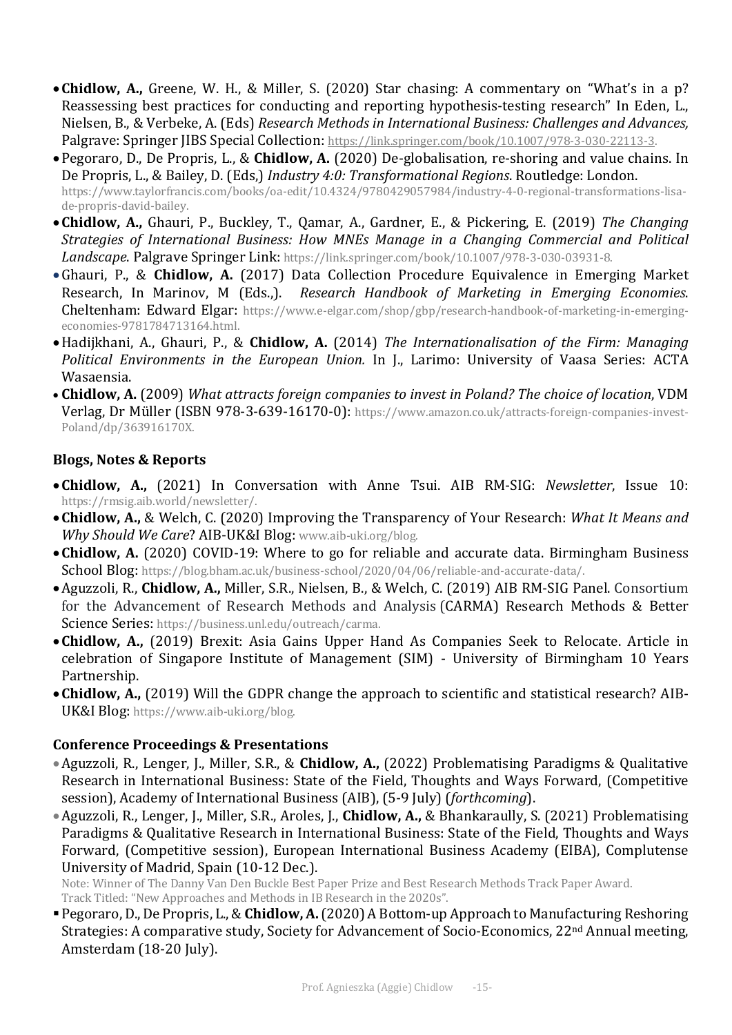- Chidlow, A., Greene, W. H., & Miller, S. (2020) Star chasing: A commentary on "What's in a p? Reassessing best practices for conducting and reporting hypothesis-testing research" In Eden, L., Nielsen, B., & Verbeke, A. (Eds) *Research Methods in International Business: Challenges and Advances,* Palgrave: Springer JIBS Special Collection: https://link.springer.com/book/10.1007/978-3-030-22113-3.
- Pegoraro, D., De Propris, L., & **Chidlow, A.** (2020) De-globalisation, re-shoring and value chains. In De Propris, L., & Bailey, D. (Eds,) *Industry 4:0: Transformational Regions*. Routledge: London. https://www.taylorfrancis.com/books/oa-edit/10.4324/9780429057984/industry-4-0-regional-transformations-lisade-propris-david-bailey.
- Chidlow, A., Ghauri, P., Buckley, T., Qamar, A., Gardner, E., & Pickering, E. (2019) *The Changing Strategies of International Business: How MNEs Manage in a Changing Commercial and Political* Landscape. Palgrave Springer Link: https://link.springer.com/book/10.1007/978-3-030-03931-8.
- •Ghauri, P., & Chidlow, A. (2017) Data Collection Procedure Equivalence in Emerging Market Research, In Marinov, M (Eds.,). Research Handbook of Marketing in Emerging Economies. Cheltenham: Edward Elgar: https://www.e-elgar.com/shop/gbp/research-handbook-of-marketing-in-emergingeconomies-9781784713164.html.
- Hadijkhani, A., Ghauri, P., & **Chidlow, A.** (2014) *The Internationalisation of the Firm: Managing Political Environments in the European Union.* In J., Larimo: University of Vaasa Series: ACTA Wasaensia.
- Chidlow, A. (2009) What attracts foreign companies to invest in Poland? The choice of location, VDM Verlag, Dr Müller (ISBN 978-3-639-16170-0): https://www.amazon.co.uk/attracts-foreign-companies-invest-Poland/dp/363916170X.

### **Blogs, Notes & Reports**

- Chidlow, A., (2021) In Conversation with Anne Tsui. AIB RM-SIG: *Newsletter*, Issue 10: https://rmsig.aib.world/newsletter/.
- Chidlow, A., & Welch, C. (2020) Improving the Transparency of Your Research: *What It Means and* Why Should We Care? AIB-UK&I Blog: www.aib-uki.org/blog.
- Chidlow, A. (2020) COVID-19: Where to go for reliable and accurate data. Birmingham Business School Blog: https://blog.bham.ac.uk/business-school/2020/04/06/reliable-and-accurate-data/.
- Aguzzoli, R., **Chidlow, A.,** Miller, S.R., Nielsen, B., & Welch, C. (2019) AIB RM-SIG Panel. Consortium for the Advancement of Research Methods and Analysis (CARMA) Research Methods & Better Science Series: https://business.unl.edu/outreach/carma.
- Chidlow, A., (2019) Brexit: Asia Gains Upper Hand As Companies Seek to Relocate. Article in celebration of Singapore Institute of Management (SIM) - University of Birmingham 10 Years Partnership.
- Chidlow, A., (2019) Will the GDPR change the approach to scientific and statistical research? AIB-UK&I Blog: https://www.aib-uki.org/blog.

#### **Conference Proceedings & Presentations**

- Aguzzoli, R., Lenger, J., Miller, S.R., & **Chidlow, A.,** (2022) Problematising Paradigms & Qualitative Research in International Business: State of the Field, Thoughts and Ways Forward, (Competitive session), Academy of International Business (AIB), (5-9 July) (*forthcoming*).
- Aguzzoli, R., Lenger, J., Miller, S.R., Aroles, J., **Chidlow, A.,** & Bhankaraully, S. (2021) Problematising Paradigms & Qualitative Research in International Business: State of the Field, Thoughts and Ways Forward, (Competitive session), European International Business Academy (EIBA), Complutense University of Madrid, Spain (10-12 Dec.).

Note: Winner of The Danny Van Den Buckle Best Paper Prize and Best Research Methods Track Paper Award. Track Titled: "New Approaches and Methods in IB Research in the 2020s".

■ Pegoraro, D., De Propris, L., & **Chidlow, A.** (2020) A Bottom-up Approach to Manufacturing Reshoring Strategies: A comparative study, Society for Advancement of Socio-Economics,  $22<sup>nd</sup>$  Annual meeting, Amsterdam (18-20 July).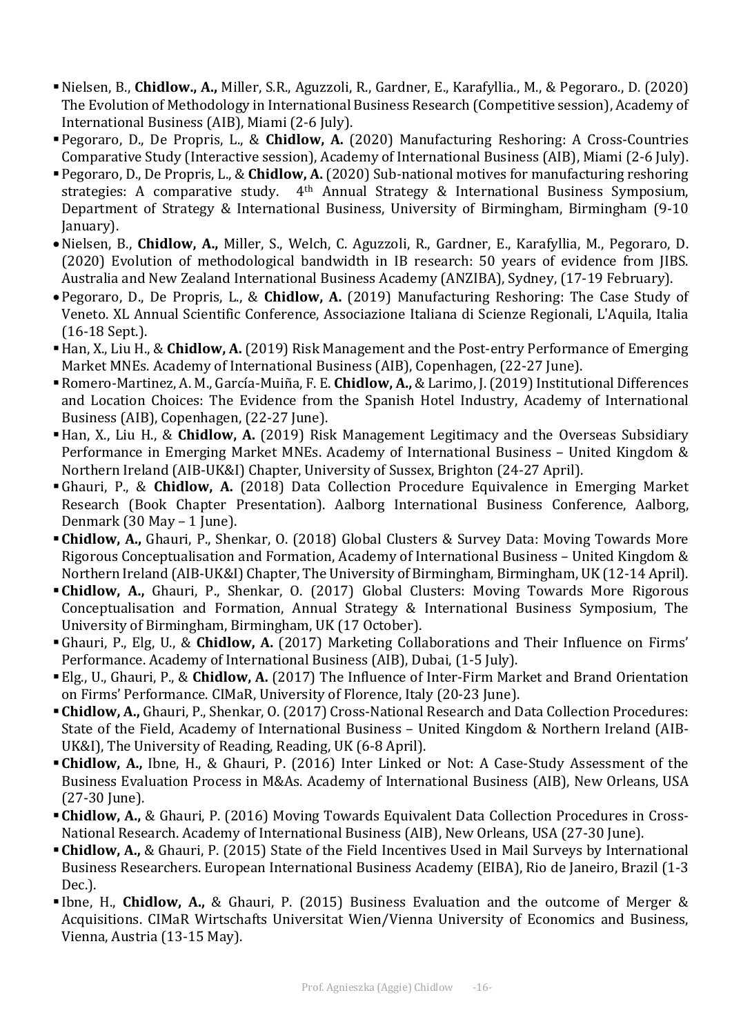- Nielsen, B., **Chidlow., A.,** Miller, S.R., Aguzzoli, R., Gardner, E., Karafyllia., M., & Pegoraro., D. (2020) The Evolution of Methodology in International Business Research (Competitive session), Academy of International Business (AIB), Miami (2-6 July).
- Pegoraro, D., De Propris, L., & **Chidlow, A.** (2020) Manufacturing Reshoring: A Cross-Countries Comparative Study (Interactive session), Academy of International Business (AIB), Miami (2-6 July).
- Pegoraro, D., De Propris, L., & **Chidlow, A.** (2020) Sub-national motives for manufacturing reshoring strategies: A comparative study.  $4<sup>th</sup>$  Annual Strategy & International Business Symposium, Department of Strategy & International Business, University of Birmingham, Birmingham (9-10) January).
- Nielsen, B., **Chidlow, A.,** Miller, S., Welch, C. Aguzzoli, R., Gardner, E., Karafyllia, M., Pegoraro, D. (2020) Evolution of methodological bandwidth in IB research: 50 years of evidence from JIBS. Australia and New Zealand International Business Academy (ANZIBA), Sydney, (17-19 February).
- Pegoraro, D., De Propris, L., & **Chidlow, A.** (2019) Manufacturing Reshoring: The Case Study of Veneto. XL Annual Scientific Conference, Associazione Italiana di Scienze Regionali, L'Aquila, Italia (16-18 Sept.).
- Han, X., Liu H., & **Chidlow, A.** (2019) Risk Management and the Post-entry Performance of Emerging Market MNEs. Academy of International Business (AIB), Copenhagen, (22-27 June).
- Romero-Martinez, A. M., García-Muiña, F. E. **Chidlow, A.,** & Larimo, J. (2019) Institutional Differences and Location Choices: The Evidence from the Spanish Hotel Industry, Academy of International Business (AIB), Copenhagen, (22-27 June).
- Han, X., Liu H., & **Chidlow, A.** (2019) Risk Management Legitimacy and the Overseas Subsidiary Performance in Emerging Market MNEs. Academy of International Business - United Kingdom & Northern Ireland (AIB-UK&I) Chapter, University of Sussex, Brighton (24-27 April).
- Ghauri, P., & Chidlow, A. (2018) Data Collection Procedure Equivalence in Emerging Market Research (Book Chapter Presentation). Aalborg International Business Conference, Aalborg, Denmark  $(30$  May – 1 June).
- **Chidlow, A.,** Ghauri, P., Shenkar, O. (2018) Global Clusters & Survey Data: Moving Towards More Rigorous Conceptualisation and Formation, Academy of International Business – United Kingdom & Northern Ireland (AIB-UK&I) Chapter, The University of Birmingham, Birmingham, UK (12-14 April).
- **Chidlow, A.,** Ghauri, P., Shenkar, O. (2017) Global Clusters: Moving Towards More Rigorous Conceptualisation and Formation, Annual Strategy & International Business Symposium, The University of Birmingham, Birmingham, UK (17 October).
- ■Ghauri, P., Elg, U., & Chidlow, A. (2017) Marketing Collaborations and Their Influence on Firms' Performance. Academy of International Business (AIB), Dubai, (1-5 July).
- Elg., U., Ghauri, P., & Chidlow, A. (2017) The Influence of Inter-Firm Market and Brand Orientation on Firms' Performance. CIMaR, University of Florence, Italy (20-23 June).
- **Chidlow, A., Ghauri, P., Shenkar, O. (2017) Cross-National Research and Data Collection Procedures:** State of the Field, Academy of International Business – United Kingdom & Northern Ireland (AIB-UK&I), The University of Reading, Reading, UK (6-8 April).
- **Chidlow, A.,** Ibne, H., & Ghauri, P. (2016) Inter Linked or Not: A Case-Study Assessment of the Business Evaluation Process in M&As. Academy of International Business (AIB), New Orleans, USA  $(27-30 \text{ [une]}).$
- Chidlow, A., & Ghauri, P. (2016) Moving Towards Equivalent Data Collection Procedures in Cross-National Research. Academy of International Business (AIB), New Orleans, USA (27-30 June).
- **Chidlow, A.,** & Ghauri, P. (2015) State of the Field Incentives Used in Mail Surveys by International Business Researchers. European International Business Academy (EIBA), Rio de Janeiro, Brazil (1-3 Dec.).
- **Example H., Chidlow, A.,** & Ghauri, P. (2015) Business Evaluation and the outcome of Merger & Acquisitions. CIMaR Wirtschafts Universitat Wien/Vienna University of Economics and Business, Vienna, Austria (13-15 May).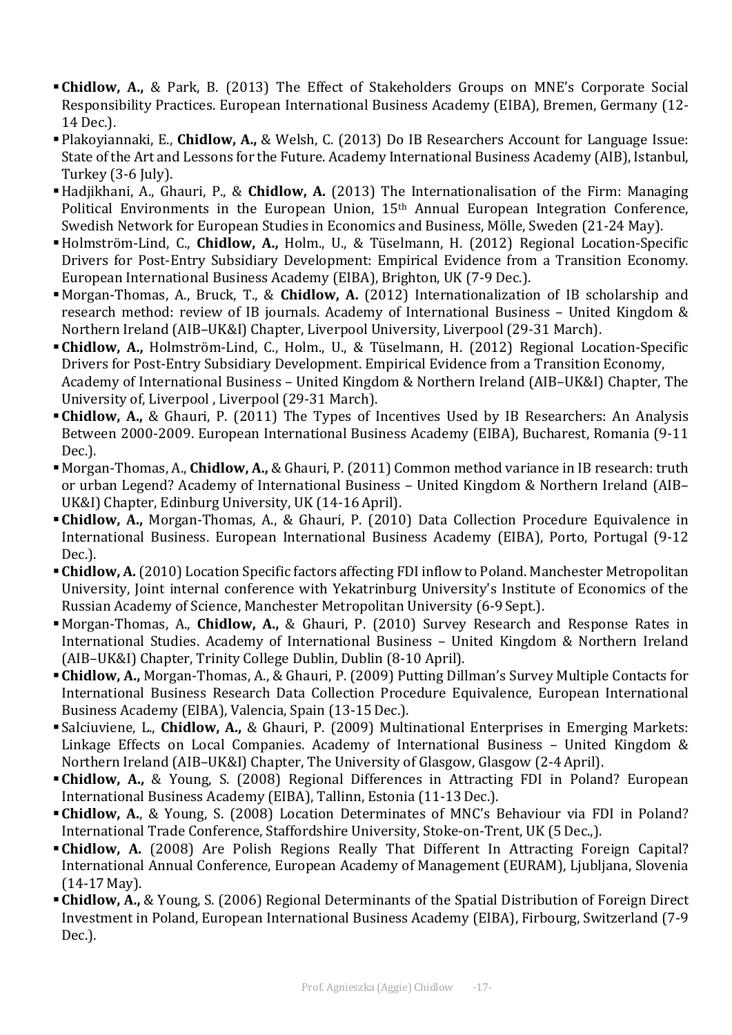- **Chidlow, A.,** & Park, B. (2013) The Effect of Stakeholders Groups on MNE's Corporate Social Responsibility Practices. European International Business Academy (EIBA), Bremen, Germany (12-14 Dec.).
- **Plakoyiannaki, E., Chidlow, A., & Welsh, C. (2013) Do IB Researchers Account for Language Issue:** State of the Art and Lessons for the Future. Academy International Business Academy (AIB), Istanbul, Turkey (3-6 July).
- Hadjikhani, A., Ghauri, P., & **Chidlow, A.** (2013) The Internationalisation of the Firm: Managing Political Environments in the European Union,  $15<sup>th</sup>$  Annual European Integration Conference, Swedish Network for European Studies in Economics and Business, Mölle, Sweden (21-24 May).
- Holmström-Lind, C., **Chidlow, A.,** Holm., U., & Tüselmann, H. (2012) Regional Location-Specific Drivers for Post-Entry Subsidiary Development: Empirical Evidence from a Transition Economy. European International Business Academy (EIBA), Brighton, UK (7-9 Dec.).
- Morgan-Thomas, A., Bruck, T., & **Chidlow, A.** (2012) Internationalization of IB scholarship and research method: review of IB journals. Academy of International Business - United Kingdom & Northern Ireland (AIB-UK&I) Chapter, Liverpool University, Liverpool (29-31 March).
- Chidlow, A., Holmström-Lind, C., Holm., U., & Tüselmann, H. (2012) Regional Location-Specific Drivers for Post-Entry Subsidiary Development. Empirical Evidence from a Transition Economy, Academy of International Business – United Kingdom & Northern Ireland (AIB–UK&I) Chapter, The University of, Liverpool, Liverpool (29-31 March).
- Chidlow, A., & Ghauri, P. (2011) The Types of Incentives Used by IB Researchers: An Analysis Between 2000-2009. European International Business Academy (EIBA), Bucharest, Romania (9-11 Dec.).
- Morgan-Thomas, A., **Chidlow, A.,** & Ghauri, P. (2011) Common method variance in IB research: truth or urban Legend? Academy of International Business – United Kingdom & Northern Ireland (AIB– UK&I) Chapter, Edinburg University, UK (14-16 April).
- **Chidlow, A.,** Morgan-Thomas, A., & Ghauri, P. (2010) Data Collection Procedure Equivalence in International Business. European International Business Academy (EIBA), Porto, Portugal (9-12) Dec.).
- Chidlow, A. (2010) Location Specific factors affecting FDI inflow to Poland. Manchester Metropolitan University, Joint internal conference with Yekatrinburg University's Institute of Economics of the Russian Academy of Science, Manchester Metropolitan University (6-9 Sept.).
- Morgan-Thomas, A., **Chidlow, A.,** & Ghauri, P. (2010) Survey Research and Response Rates in International Studies. Academy of International Business - United Kingdom & Northern Ireland (AIB-UK&I) Chapter, Trinity College Dublin, Dublin (8-10 April).
- Chidlow, A., Morgan-Thomas, A., & Ghauri, P. (2009) Putting Dillman's Survey Multiple Contacts for International Business Research Data Collection Procedure Equivalence, European International Business Academy (EIBA), Valencia, Spain (13-15 Dec.).
- Salciuviene, L., **Chidlow, A.,** & Ghauri, P. (2009) Multinational Enterprises in Emerging Markets: Linkage Effects on Local Companies. Academy of International Business - United Kingdom & Northern Ireland (AIB–UK&I) Chapter, The University of Glasgow, Glasgow (2-4 April).
- **Chidlow, A.,** & Young, S. (2008) Regional Differences in Attracting FDI in Poland? European International Business Academy (EIBA), Tallinn, Estonia (11-13 Dec.).
- **Chidlow, A.**, & Young, S. (2008) Location Determinates of MNC's Behaviour via FDI in Poland? International Trade Conference, Staffordshire University, Stoke-on-Trent, UK (5 Dec.,).
- Chidlow, A. (2008) Are Polish Regions Really That Different In Attracting Foreign Capital? International Annual Conference, European Academy of Management (EURAM), Ljubljana, Slovenia (14-17 May).
- **Chidlow, A., & Young, S. (2006) Regional Determinants of the Spatial Distribution of Foreign Direct** Investment in Poland, European International Business Academy (EIBA), Firbourg, Switzerland (7-9 Dec.).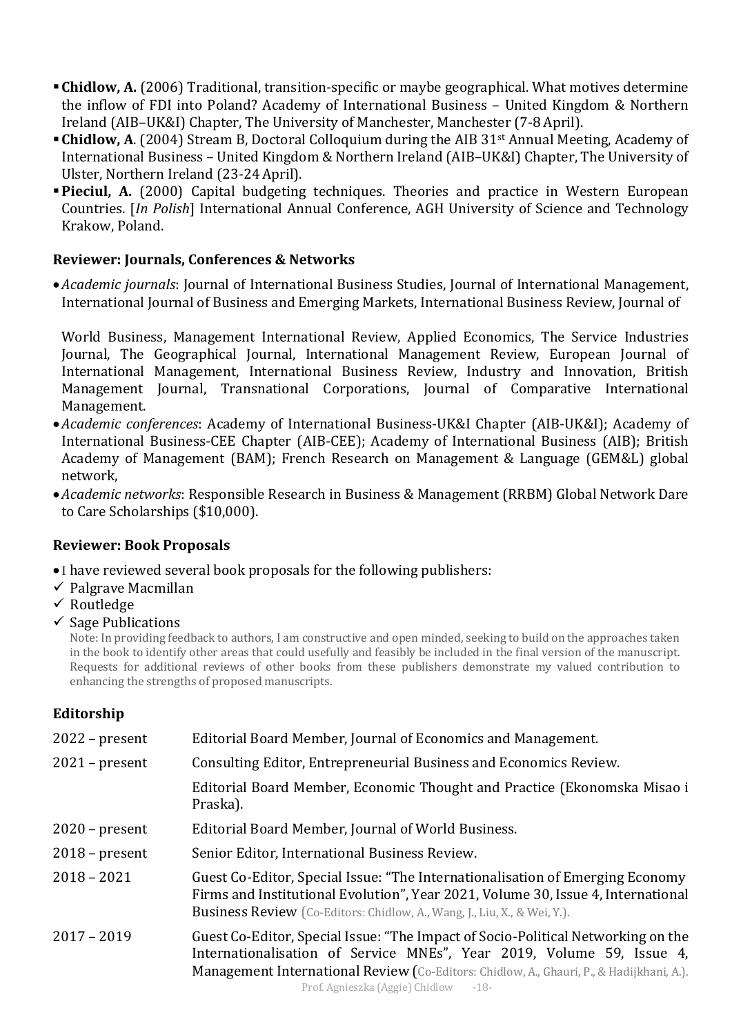- **Chidlow, A.** (2006) Traditional, transition-specific or maybe geographical. What motives determine the inflow of FDI into Poland? Academy of International Business - United Kingdom & Northern Ireland (AIB-UK&I) Chapter, The University of Manchester, Manchester (7-8 April).
- **Chidlow, A.** (2004) Stream B, Doctoral Colloquium during the AIB 31<sup>st</sup> Annual Meeting, Academy of International Business - United Kingdom & Northern Ireland (AIB-UK&I) Chapter, The University of Ulster, Northern Ireland (23-24 April).
- **Pieciul, A.** (2000) Capital budgeting techniques. Theories and practice in Western European Countries. [*In Polish*] International Annual Conference, AGH University of Science and Technology Krakow, Poland.

### **Reviewer: Journals, Conferences & Networks**

•*Academic journals*: Journal of International Business Studies, Journal of International Management, International Journal of Business and Emerging Markets, International Business Review, Journal of

World Business, Management International Review, Applied Economics, The Service Industries Journal, The Geographical Journal, International Management Review, European Journal of International Management, International Business Review, Industry and Innovation, British Management Journal, Transnational Corporations, Journal of Comparative International Management.

- •*Academic conferences*: Academy of International Business-UK&I Chapter (AIB-UK&I); Academy of International Business-CEE Chapter (AIB-CEE); Academy of International Business (AIB); British Academy of Management (BAM); French Research on Management & Language (GEM&L) global network,
- •*Academic networks*: Responsible Research in Business & Management (RRBM) Global Network Dare to Care Scholarships (\$10,000).

### **Reviewer: Book Proposals**

- I have reviewed several book proposals for the following publishers:
- $\checkmark$  Palgrave Macmillan
- $\checkmark$  Routledge
- $\checkmark$  Sage Publications

Note: In providing feedback to authors, I am constructive and open minded, seeking to build on the approaches taken in the book to identify other areas that could usefully and feasibly be included in the final version of the manuscript. Requests for additional reviews of other books from these publishers demonstrate my valued contribution to enhancing the strengths of proposed manuscripts.

### **Editorship**

| $2022$ – present | Editorial Board Member, Journal of Economics and Management.                                                                                                                                                                                                                                  |  |
|------------------|-----------------------------------------------------------------------------------------------------------------------------------------------------------------------------------------------------------------------------------------------------------------------------------------------|--|
| $2021$ – present | Consulting Editor, Entrepreneurial Business and Economics Review.                                                                                                                                                                                                                             |  |
|                  | Editorial Board Member, Economic Thought and Practice (Ekonomska Misao i<br>Praska).                                                                                                                                                                                                          |  |
| $2020$ – present | Editorial Board Member, Journal of World Business.                                                                                                                                                                                                                                            |  |
| $2018$ – present | Senior Editor, International Business Review.                                                                                                                                                                                                                                                 |  |
| $2018 - 2021$    | Guest Co-Editor, Special Issue: "The Internationalisation of Emerging Economy<br>Firms and Institutional Evolution", Year 2021, Volume 30, Issue 4, International<br><b>Business Review</b> (Co-Editors: Chidlow, A., Wang, J., Liu, X., & Wei, Y.).                                          |  |
| $2017 - 2019$    | Guest Co-Editor, Special Issue: "The Impact of Socio-Political Networking on the<br>Internationalisation of Service MNEs", Year 2019, Volume 59, Issue 4,<br>Management International Review (Co-Editors: Chidlow, A., Ghauri, P., & Hadijkhani, A.).<br>Prof. Agnieszka (Aggie) Chidlow -18- |  |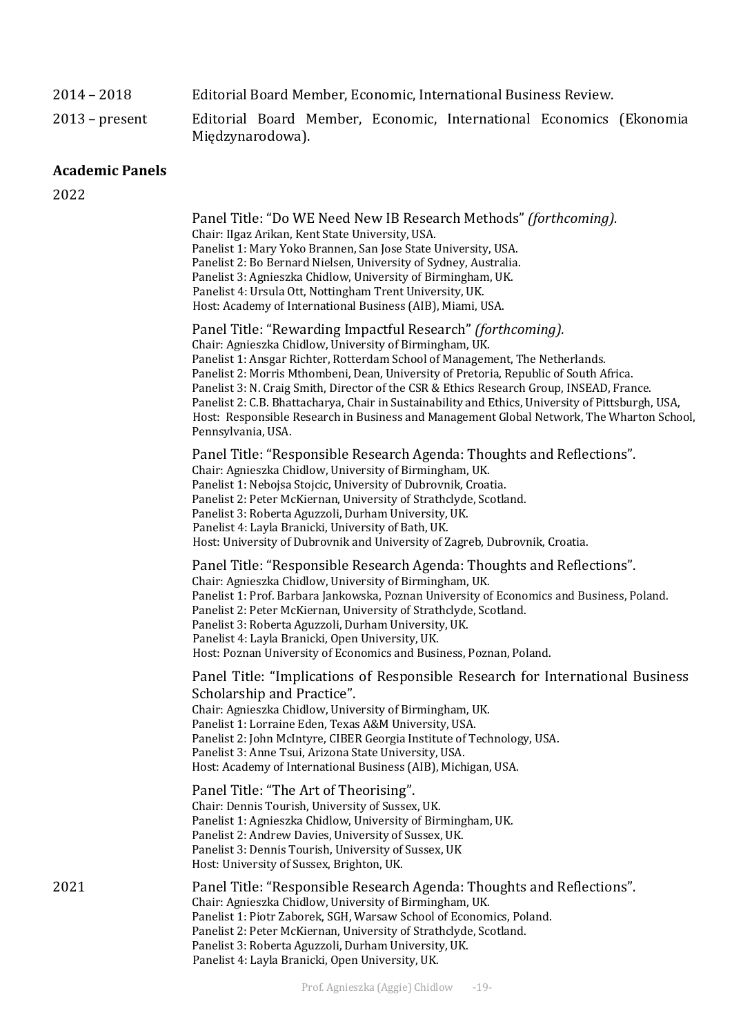#### 2014 – 2018 Editorial Board Member, Economic, International Business Review.

2013 – present Editorial Board Member, Economic, International Economics (Ekonomia Międzynarodowa).

#### **Academic Panels**

2022

Panel Title: "Do WE Need New IB Research Methods" *(forthcoming).* Chair: IIgaz Arikan, Kent State University, USA. Panelist 1: Mary Yoko Brannen, San Jose State University, USA. Panelist 2: Bo Bernard Nielsen, University of Sydney, Australia. Panelist 3: Agnieszka Chidlow, University of Birmingham, UK. Panelist 4: Ursula Ott, Nottingham Trent University, UK. Host: Academy of International Business (AIB), Miami, USA. Panel Title: "Rewarding Impactful Research" *(forthcoming).* Chair: Agnieszka Chidlow, University of Birmingham, UK. Panelist 1: Ansgar Richter, Rotterdam School of Management, The Netherlands. Panelist 2: Morris Mthombeni, Dean, University of Pretoria, Republic of South Africa. Panelist 3: N. Craig Smith, Director of the CSR & Ethics Research Group, INSEAD, France. Panelist 2: C.B. Bhattacharya, Chair in Sustainability and Ethics, University of Pittsburgh, USA, Host: Responsible Research in Business and Management Global Network, The Wharton School, Pennsylvania, USA. Panel Title: "Responsible Research Agenda: Thoughts and Reflections". Chair: Agnieszka Chidlow, University of Birmingham. UK. Panelist 1: Nebojsa Stojcic, University of Dubrovnik, Croatia. Panelist 2: Peter McKiernan, University of Strathclyde, Scotland. Panelist 3: Roberta Aguzzoli, Durham University, UK. Panelist 4: Layla Branicki, University of Bath, UK. Host: University of Dubrovnik and University of Zagreb, Dubrovnik, Croatia. Panel Title: "Responsible Research Agenda: Thoughts and Reflections". Chair: Agnieszka Chidlow, University of Birmingham, UK. Panelist 1: Prof. Barbara Jankowska, Poznan University of Economics and Business, Poland. Panelist 2: Peter McKiernan, University of Strathclyde, Scotland. Panelist 3: Roberta Aguzzoli, Durham University, UK. Panelist 4: Layla Branicki, Open University, UK. Host: Poznan University of Economics and Business, Poznan, Poland. Panel Title: "Implications of Responsible Research for International Business Scholarship and Practice". Chair: Agnieszka Chidlow, University of Birmingham, UK. Panelist 1: Lorraine Eden, Texas A&M University, USA. Panelist 2: John McIntyre, CIBER Georgia Institute of Technology, USA. Panelist 3: Anne Tsui, Arizona State University, USA. Host: Academy of International Business (AIB), Michigan, USA. Panel Title: "The Art of Theorising". Chair: Dennis Tourish, University of Sussex, UK. Panelist 1: Agnieszka Chidlow, University of Birmingham, UK. Panelist 2: Andrew Davies, University of Sussex, UK. Panelist 3: Dennis Tourish, University of Sussex, UK Host: University of Sussex, Brighton, UK. 2021 **Panel Title: "Responsible Research Agenda: Thoughts and Reflections".** Chair: Agnieszka Chidlow, University of Birmingham, UK. Panelist 1: Piotr Zaborek, SGH, Warsaw School of Economics, Poland. Panelist 2: Peter McKiernan, University of Strathclyde, Scotland. Panelist 3: Roberta Aguzzoli, Durham University, UK.

Panelist 4: Layla Branicki, Open University, UK.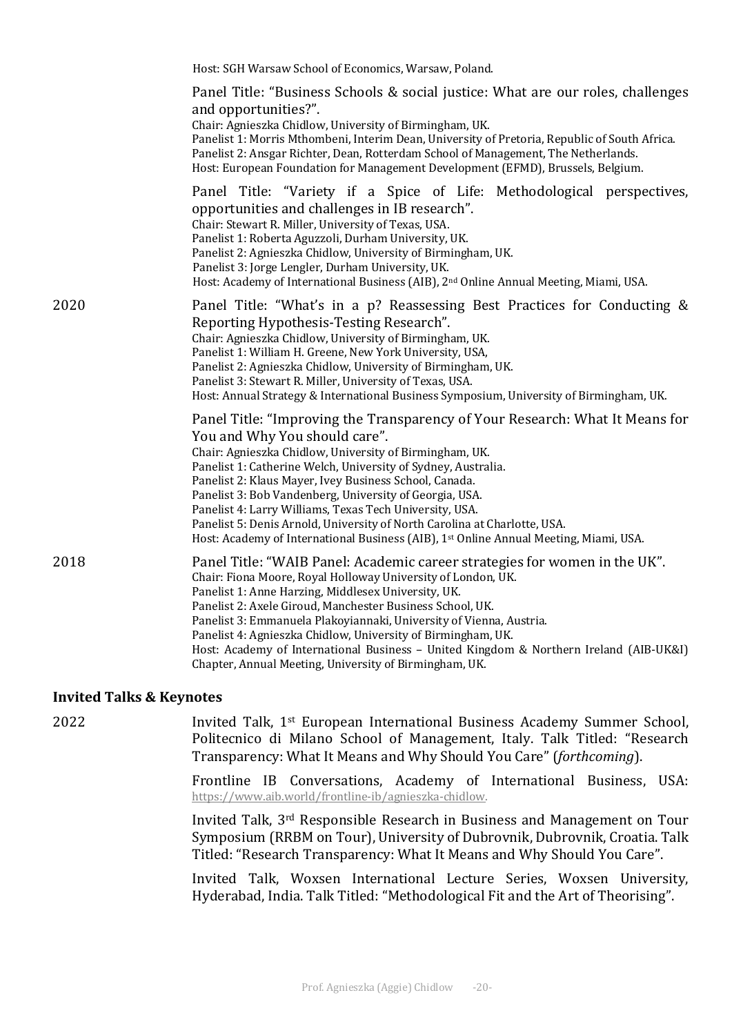|      | Host: SGH Warsaw School of Economics, Warsaw, Poland.                                                                                                                                                                                                                                                                                                                                                                                                                                                                                                                                           |
|------|-------------------------------------------------------------------------------------------------------------------------------------------------------------------------------------------------------------------------------------------------------------------------------------------------------------------------------------------------------------------------------------------------------------------------------------------------------------------------------------------------------------------------------------------------------------------------------------------------|
|      | Panel Title: "Business Schools & social justice: What are our roles, challenges<br>and opportunities?".<br>Chair: Agnieszka Chidlow, University of Birmingham, UK.<br>Panelist 1: Morris Mthombeni, Interim Dean, University of Pretoria, Republic of South Africa.<br>Panelist 2: Ansgar Richter, Dean, Rotterdam School of Management, The Netherlands.<br>Host: European Foundation for Management Development (EFMD), Brussels, Belgium.                                                                                                                                                    |
|      | Panel Title: "Variety if a Spice of Life: Methodological perspectives,<br>opportunities and challenges in IB research".<br>Chair: Stewart R. Miller, University of Texas, USA.<br>Panelist 1: Roberta Aguzzoli, Durham University, UK.<br>Panelist 2: Agnieszka Chidlow, University of Birmingham, UK.<br>Panelist 3: Jorge Lengler, Durham University, UK.<br>Host: Academy of International Business (AIB), 2 <sup>nd</sup> Online Annual Meeting, Miami, USA.                                                                                                                                |
| 2020 | Panel Title: "What's in a p? Reassessing Best Practices for Conducting &<br>Reporting Hypothesis-Testing Research".<br>Chair: Agnieszka Chidlow, University of Birmingham, UK.<br>Panelist 1: William H. Greene, New York University, USA,<br>Panelist 2: Agnieszka Chidlow, University of Birmingham, UK.<br>Panelist 3: Stewart R. Miller, University of Texas, USA.<br>Host: Annual Strategy & International Business Symposium, University of Birmingham, UK.                                                                                                                               |
|      | Panel Title: "Improving the Transparency of Your Research: What It Means for<br>You and Why You should care".<br>Chair: Agnieszka Chidlow, University of Birmingham, UK.<br>Panelist 1: Catherine Welch, University of Sydney, Australia.<br>Panelist 2: Klaus Mayer, Ivey Business School, Canada.<br>Panelist 3: Bob Vandenberg, University of Georgia, USA.<br>Panelist 4: Larry Williams, Texas Tech University, USA.<br>Panelist 5: Denis Arnold, University of North Carolina at Charlotte, USA.<br>Host: Academy of International Business (AIB), 1st Online Annual Meeting, Miami, USA. |
| 2018 | Panel Title: "WAIB Panel: Academic career strategies for women in the UK".<br>Chair: Fiona Moore, Royal Holloway University of London, UK.<br>Panelist 1: Anne Harzing, Middlesex University, UK.<br>Panelist 2: Axele Giroud, Manchester Business School, UK.<br>Panelist 3: Emmanuela Plakoyiannaki, University of Vienna, Austria.<br>Panelist 4: Agnieszka Chidlow, University of Birmingham, UK.<br>Host: Academy of International Business - United Kingdom & Northern Ireland (AIB-UK&I)<br>Chapter, Annual Meeting, University of Birmingham, UK.                                       |

#### **Invited Talks & Keynotes**

2022 **Invited Talk, 1st European International Business Academy Summer School,** Politecnico di Milano School of Management, Italy. Talk Titled: "Research Transparency: What It Means and Why Should You Care" (*forthcoming*).

> Frontline IB Conversations, Academy of International Business, USA: https://www.aib.world/frontline-ib/agnieszka-chidlow.

> Invited Talk, 3<sup>rd</sup> Responsible Research in Business and Management on Tour Symposium (RRBM on Tour), University of Dubrovnik, Dubrovnik, Croatia. Talk Titled: "Research Transparency: What It Means and Why Should You Care".

> Invited Talk, Woxsen International Lecture Series, Woxsen University, Hyderabad, India. Talk Titled: "Methodological Fit and the Art of Theorising".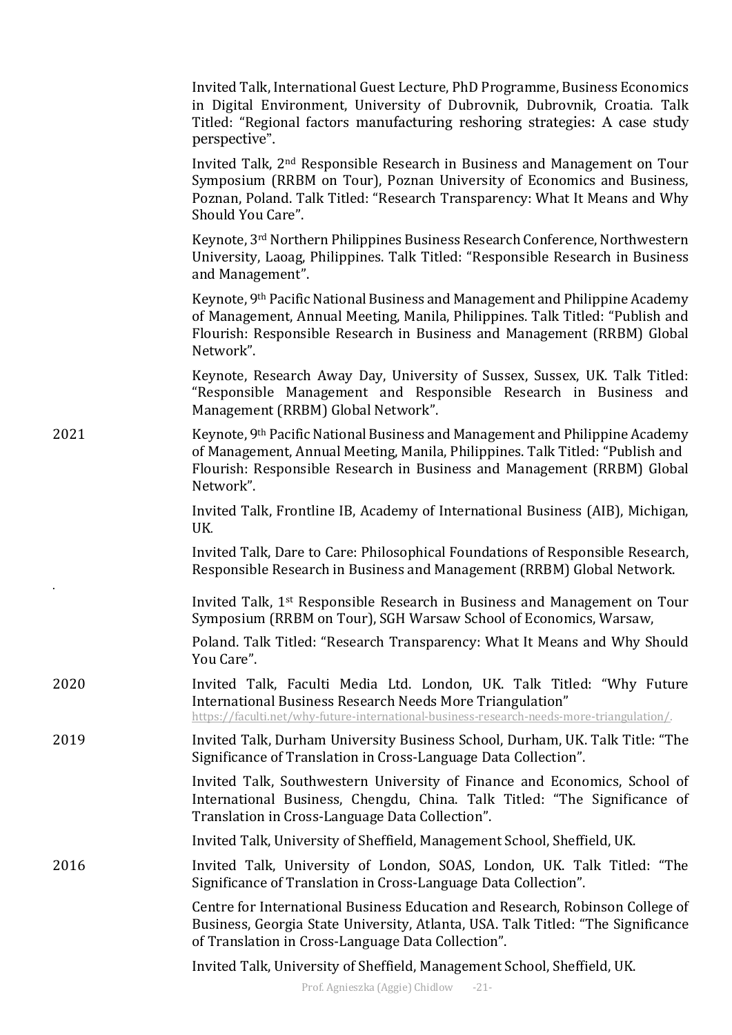|      | Invited Talk, International Guest Lecture, PhD Programme, Business Economics<br>in Digital Environment, University of Dubrovnik, Dubrovnik, Croatia. Talk<br>Titled: "Regional factors manufacturing reshoring strategies: A case study<br>perspective".           |
|------|--------------------------------------------------------------------------------------------------------------------------------------------------------------------------------------------------------------------------------------------------------------------|
|      | Invited Talk, 2 <sup>nd</sup> Responsible Research in Business and Management on Tour<br>Symposium (RRBM on Tour), Poznan University of Economics and Business,<br>Poznan, Poland. Talk Titled: "Research Transparency: What It Means and Why<br>Should You Care". |
|      | Keynote, 3 <sup>rd</sup> Northern Philippines Business Research Conference, Northwestern<br>University, Laoag, Philippines. Talk Titled: "Responsible Research in Business<br>and Management".                                                                     |
|      | Keynote, 9th Pacific National Business and Management and Philippine Academy<br>of Management, Annual Meeting, Manila, Philippines. Talk Titled: "Publish and<br>Flourish: Responsible Research in Business and Management (RRBM) Global<br>Network".              |
|      | Keynote, Research Away Day, University of Sussex, Sussex, UK. Talk Titled:<br>"Responsible Management and Responsible Research in Business and<br>Management (RRBM) Global Network".                                                                               |
| 2021 | Keynote, 9th Pacific National Business and Management and Philippine Academy<br>of Management, Annual Meeting, Manila, Philippines. Talk Titled: "Publish and<br>Flourish: Responsible Research in Business and Management (RRBM) Global<br>Network".              |
|      | Invited Talk, Frontline IB, Academy of International Business (AIB), Michigan,<br>UK.                                                                                                                                                                              |
|      | Invited Talk, Dare to Care: Philosophical Foundations of Responsible Research,<br>Responsible Research in Business and Management (RRBM) Global Network.                                                                                                           |
|      | Invited Talk, 1 <sup>st</sup> Responsible Research in Business and Management on Tour<br>Symposium (RRBM on Tour), SGH Warsaw School of Economics, Warsaw,                                                                                                         |
|      | Poland. Talk Titled: "Research Transparency: What It Means and Why Should<br>You Care".                                                                                                                                                                            |
| 2020 | Invited Talk, Faculti Media Ltd. London, UK. Talk Titled: "Why Future<br>International Business Research Needs More Triangulation"<br>https://faculti.net/why-future-international-business-research-needs-more-triangulation/.                                    |
| 2019 | Invited Talk, Durham University Business School, Durham, UK. Talk Title: "The<br>Significance of Translation in Cross-Language Data Collection".                                                                                                                   |
|      | Invited Talk, Southwestern University of Finance and Economics, School of<br>International Business, Chengdu, China. Talk Titled: "The Significance of<br>Translation in Cross-Language Data Collection".                                                          |
|      | Invited Talk, University of Sheffield, Management School, Sheffield, UK.                                                                                                                                                                                           |
| 2016 | Invited Talk, University of London, SOAS, London, UK. Talk Titled: "The<br>Significance of Translation in Cross-Language Data Collection".                                                                                                                         |
|      | Centre for International Business Education and Research, Robinson College of<br>Business, Georgia State University, Atlanta, USA. Talk Titled: "The Significance<br>of Translation in Cross-Language Data Collection".                                            |
|      | Invited Talk, University of Sheffield, Management School, Sheffield, UK.                                                                                                                                                                                           |
|      |                                                                                                                                                                                                                                                                    |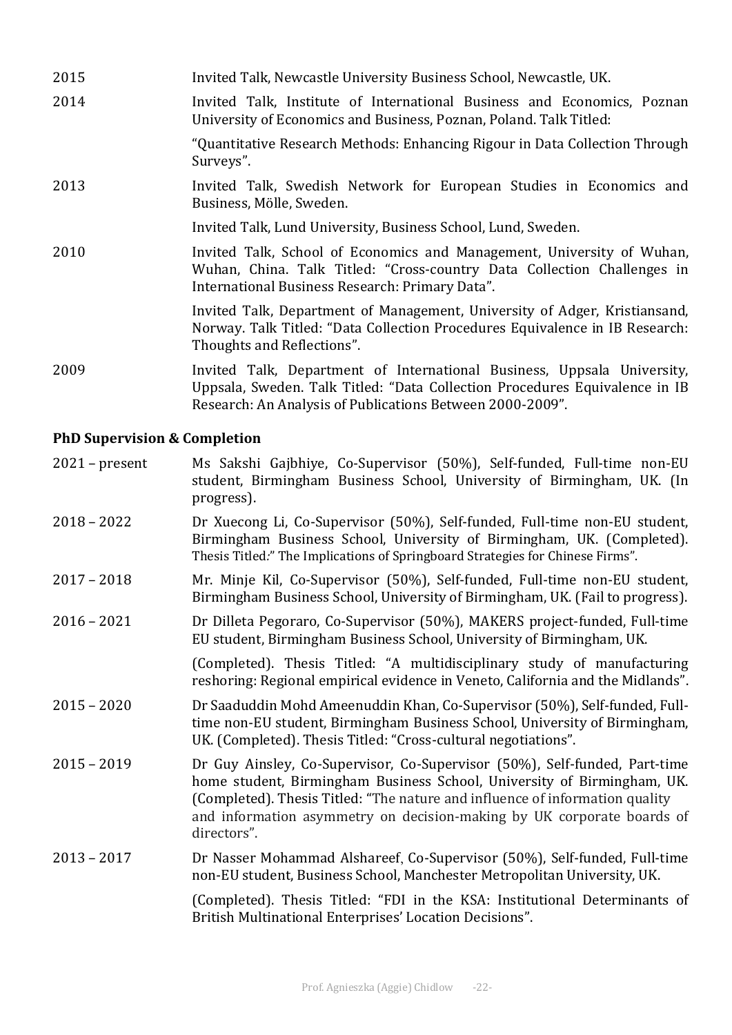| 2015 | Invited Talk, Newcastle University Business School, Newcastle, UK.                                                                                                                                                  |
|------|---------------------------------------------------------------------------------------------------------------------------------------------------------------------------------------------------------------------|
| 2014 | Invited Talk, Institute of International Business and Economics, Poznan<br>University of Economics and Business, Poznan, Poland. Talk Titled:                                                                       |
|      | "Quantitative Research Methods: Enhancing Rigour in Data Collection Through<br>Surveys".                                                                                                                            |
| 2013 | Invited Talk, Swedish Network for European Studies in Economics and<br>Business, Mölle, Sweden.                                                                                                                     |
|      | Invited Talk, Lund University, Business School, Lund, Sweden.                                                                                                                                                       |
| 2010 | Invited Talk, School of Economics and Management, University of Wuhan,<br>Wuhan, China. Talk Titled: "Cross-country Data Collection Challenges in<br>International Business Research: Primary Data".                |
|      | Invited Talk, Department of Management, University of Adger, Kristiansand,<br>Norway. Talk Titled: "Data Collection Procedures Equivalence in IB Research:<br>Thoughts and Reflections".                            |
| 2009 | Invited Talk, Department of International Business, Uppsala University,<br>Uppsala, Sweden. Talk Titled: "Data Collection Procedures Equivalence in IB<br>Research: An Analysis of Publications Between 2000-2009". |

#### **PhD Supervision & Completion**

| $2021$ – present | Ms Sakshi Gajbhiye, Co-Supervisor (50%), Self-funded, Full-time non-EU |  |  |  |
|------------------|------------------------------------------------------------------------|--|--|--|
|                  | student, Birmingham Business School, University of Birmingham, UK. (In |  |  |  |
|                  | progress).                                                             |  |  |  |

- 2018 2022 Dr Xuecong Li, Co-Supervisor (50%), Self-funded, Full-time non-EU student, Birmingham Business School, University of Birmingham, UK. (Completed). Thesis Titled:" The Implications of Springboard Strategies for Chinese Firms".
- 2017 2018 Mr. Minje Kil, Co-Supervisor (50%), Self-funded, Full-time non-EU student, Birmingham Business School, University of Birmingham, UK. (Fail to progress).
- 2016 2021 **Dr** Dilleta Pegoraro, Co-Supervisor (50%), MAKERS project-funded, Full-time EU student, Birmingham Business School, University of Birmingham, UK.

(Completed). Thesis Titled: "A multidisciplinary study of manufacturing reshoring: Regional empirical evidence in Veneto, California and the Midlands".

- 2015 2020 Dr Saaduddin Mohd Ameenuddin Khan, Co-Supervisor (50%), Self-funded, Fulltime non-EU student, Birmingham Business School, University of Birmingham, UK. (Completed). Thesis Titled: "Cross-cultural negotiations".
- 2015 2019 **Dr** Guy Ainsley, Co-Supervisor, Co-Supervisor (50%), Self-funded, Part-time home student, Birmingham Business School, University of Birmingham, UK. (Completed). Thesis Titled: "The nature and influence of information quality and information asymmetry on decision-making by UK corporate boards of directors".
- 2013 2017 **Dr** Nasser Mohammad Alshareef, Co-Supervisor (50%), Self-funded, Full-time non-EU student, Business School, Manchester Metropolitan University, UK.

(Completed). Thesis Titled: "FDI in the KSA: Institutional Determinants of British Multinational Enterprises' Location Decisions".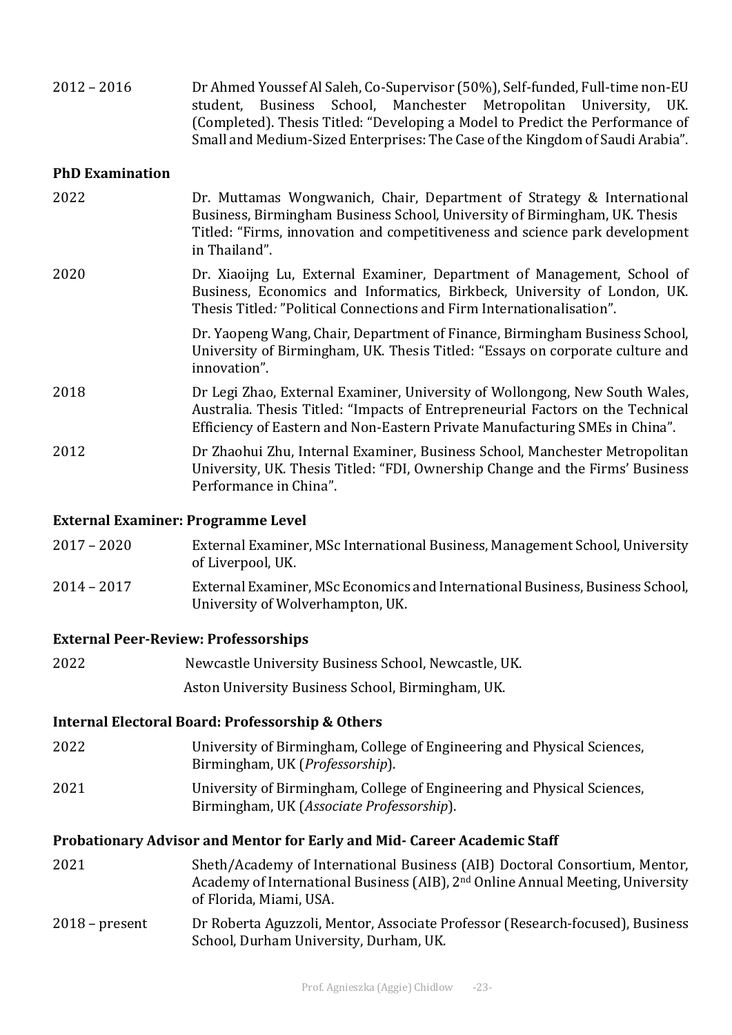| $2012 - 2016$ | Dr Ahmed Youssef Al Saleh, Co-Supervisor (50%), Self-funded, Full-time non-EU |  |  |  |                                                                               |  |
|---------------|-------------------------------------------------------------------------------|--|--|--|-------------------------------------------------------------------------------|--|
|               |                                                                               |  |  |  | student, Business School, Manchester Metropolitan University, UK.             |  |
|               |                                                                               |  |  |  | (Completed). Thesis Titled: "Developing a Model to Predict the Performance of |  |
|               |                                                                               |  |  |  | Small and Medium-Sized Enterprises: The Case of the Kingdom of Saudi Arabia". |  |

#### **PhD Examination**

| 2022 | Dr. Muttamas Wongwanich, Chair, Department of Strategy & International<br>Business, Birmingham Business School, University of Birmingham, UK. Thesis<br>Titled: "Firms, innovation and competitiveness and science park development<br>in Thailand". |
|------|------------------------------------------------------------------------------------------------------------------------------------------------------------------------------------------------------------------------------------------------------|
| 2020 | Dr. Xiaoijng Lu, External Examiner, Department of Management, School of<br>Business, Economics and Informatics, Birkbeck, University of London, UK.<br>Thesis Titled: "Political Connections and Firm Internationalisation".                         |
|      | Dr. Yaopeng Wang, Chair, Department of Finance, Birmingham Business School,<br>University of Birmingham, UK. Thesis Titled: "Essays on corporate culture and<br>innovation".                                                                         |
| 2018 | Dr Legi Zhao, External Examiner, University of Wollongong, New South Wales,<br>Australia. Thesis Titled: "Impacts of Entrepreneurial Factors on the Technical<br>Efficiency of Eastern and Non-Eastern Private Manufacturing SMEs in China".         |
| 2012 | Dr Zhaohui Zhu, Internal Examiner, Business School, Manchester Metropolitan<br>University, UK. Thesis Titled: "FDI, Ownership Change and the Firms' Business<br>Performance in China".                                                               |

#### **External Examiner: Programme Level**

| $2017 - 2020$ | External Examiner, MSc International Business, Management School, University |
|---------------|------------------------------------------------------------------------------|
|               | of Liverpool, UK.                                                            |
| 2011<br>2017  | External Examinor MCa Economias and International Duciness Duciness Cahool   |

#### 2014 – 2017 External Examiner, MSc Economics and International Business, Business School, University of Wolverhampton, UK.

#### **External Peer-Review: Professorships**

| 2022 | Newcastle University Business School, Newcastle, UK. |
|------|------------------------------------------------------|
|      |                                                      |

Aston University Business School, Birmingham, UK.

#### **Internal Electoral Board: Professorship & Others**

- 2022 University of Birmingham, College of Engineering and Physical Sciences, Birmingham, UK (*Professorship*).
- 2021 University of Birmingham, College of Engineering and Physical Sciences, Birmingham, UK (Associate Professorship).

#### Probationary Advisor and Mentor for Early and Mid- Career Academic Staff

- 2021 Sheth/Academy of International Business (AIB) Doctoral Consortium, Mentor, Academy of International Business (AIB), 2<sup>nd</sup> Online Annual Meeting, University of Florida, Miami, USA.
- 2018 present Dr Roberta Aguzzoli, Mentor, Associate Professor (Research-focused), Business School, Durham University, Durham, UK.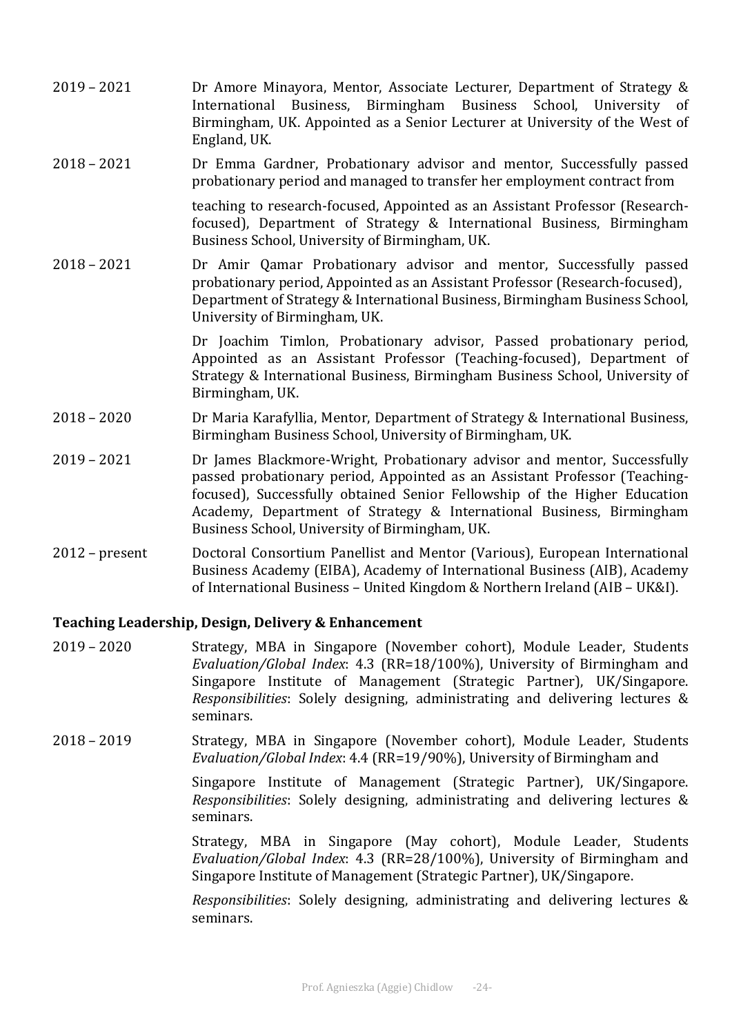- 2019 2021 Dr Amore Minayora, Mentor, Associate Lecturer, Department of Strategy & International Business, Birmingham Business School, University of Birmingham, UK. Appointed as a Senior Lecturer at University of the West of England, UK.
- 2018 2021 **Dr** Emma Gardner, Probationary advisor and mentor, Successfully passed probationary period and managed to transfer her employment contract from

teaching to research-focused, Appointed as an Assistant Professor (Researchfocused), Department of Strategy & International Business, Birmingham Business School, University of Birmingham, UK.

2018 - 2021 **Dr** Amir Qamar Probationary advisor and mentor, Successfully passed probationary period, Appointed as an Assistant Professor (Research-focused), Department of Strategy & International Business, Birmingham Business School, University of Birmingham, UK.

> Dr Joachim Timlon, Probationary advisor, Passed probationary period, Appointed as an Assistant Professor (Teaching-focused), Department of Strategy & International Business, Birmingham Business School, University of Birmingham, UK.

- 2018 2020 Dr Maria Karafyllia, Mentor, Department of Strategy & International Business, Birmingham Business School, University of Birmingham, UK.
- 2019 2021 **Dr James Blackmore-Wright, Probationary advisor and mentor, Successfully** passed probationary period, Appointed as an Assistant Professor (Teachingfocused), Successfully obtained Senior Fellowship of the Higher Education Academy, Department of Strategy & International Business, Birmingham Business School, University of Birmingham, UK.
- 2012 present Doctoral Consortium Panellist and Mentor (Various), European International Business Academy (EIBA), Academy of International Business (AIB), Academy of International Business – United Kingdom & Northern Ireland (AIB – UK&I).

#### **Teaching Leadership, Design, Delivery & Enhancement**

- 2019 2020 Strategy, MBA in Singapore (November cohort), Module Leader, Students *Evaluation/Global Index*: 4.3 (RR=18/100%), University of Birmingham and Singapore Institute of Management (Strategic Partner), UK/Singapore. *Responsibilities*: Solely designing, administrating and delivering lectures & seminars.
- 2018 2019 Strategy, MBA in Singapore (November cohort), Module Leader, Students *Evaluation/Global Index*: 4.4 (RR=19/90%), University of Birmingham and

Singapore Institute of Management (Strategic Partner), UK/Singapore. *Responsibilities*: Solely designing, administrating and delivering lectures & seminars.

Strategy, MBA in Singapore (May cohort), Module Leader, Students *Evaluation/Global Index*: 4.3 (RR=28/100%), University of Birmingham and Singapore Institute of Management (Strategic Partner), UK/Singapore.

*Responsibilities*: Solely designing, administrating and delivering lectures & seminars.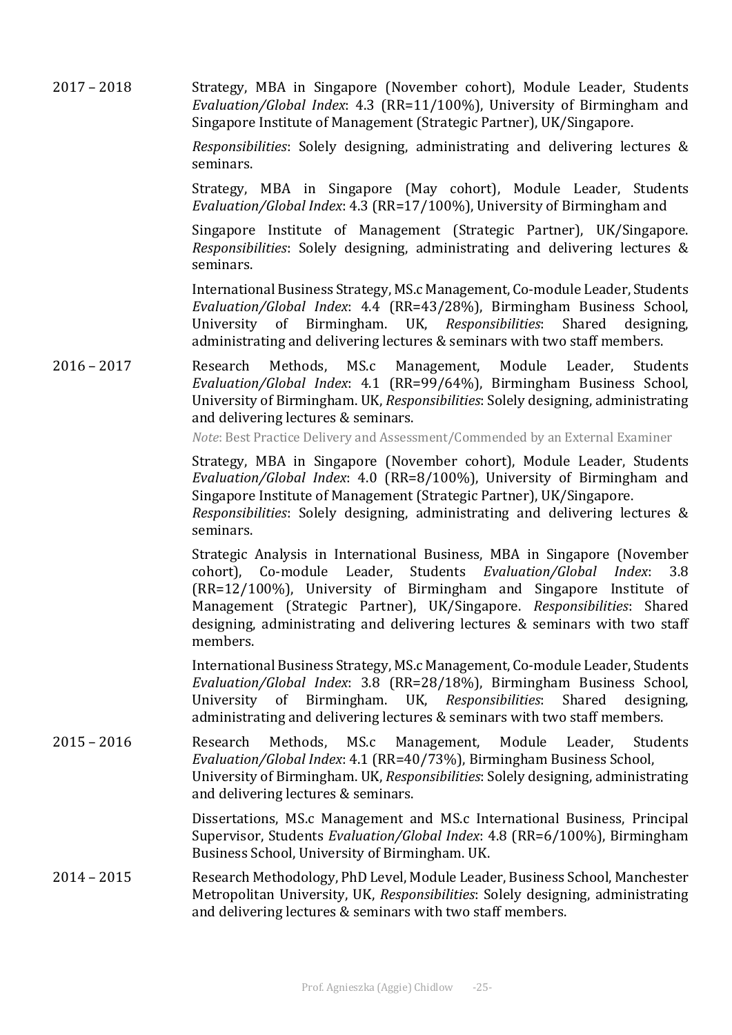2017 – 2018 Strategy, MBA in Singapore (November cohort), Module Leader, Students *Evaluation/Global Index*: 4.3 (RR=11/100%), University of Birmingham and Singapore Institute of Management (Strategic Partner), UK/Singapore.

> *Responsibilities*: Solely designing, administrating and delivering lectures & seminars.

> Strategy, MBA in Singapore (May cohort), Module Leader, Students *Evaluation/Global Index*: 4.3 (RR=17/100%), University of Birmingham and

> Singapore Institute of Management (Strategic Partner), UK/Singapore. *Responsibilities*: Solely designing, administrating and delivering lectures & seminars.

> International Business Strategy, MS.c Management, Co-module Leader, Students *Evaluation/Global Index*: 4.4 (RR=43/28%), Birmingham Business School, University of Birmingham. UK, *Responsibilities*: Shared designing, administrating and delivering lectures & seminars with two staff members.

2016 – 2017 Research Methods, MS.c Management, Module Leader, Students *Evaluation/Global Index*: 4.1 (RR=99/64%), Birmingham Business School, University of Birmingham. UK, *Responsibilities*: Solely designing, administrating and delivering lectures & seminars.

*Note*: Best Practice Delivery and Assessment/Commended by an External Examiner

Strategy, MBA in Singapore (November cohort), Module Leader, Students *Evaluation/Global Index*: 4.0 (RR=8/100%), University of Birmingham and Singapore Institute of Management (Strategic Partner), UK/Singapore.

*Responsibilities*: Solely designing, administrating and delivering lectures & seminars.

Strategic Analysis in International Business, MBA in Singapore (November cohort), Co-module Leader, Students *Evaluation/Global Index*: 3.8  $(RR=12/100\%)$ , University of Birmingham and Singapore Institute of Management (Strategic Partner), UK/Singapore. *Responsibilities*: Shared designing, administrating and delivering lectures & seminars with two staff members.

International Business Strategy, MS.c Management, Co-module Leader, Students *Evaluation/Global Index*: 3.8 (RR=28/18%), Birmingham Business School, University of Birmingham. UK, *Responsibilities*: Shared designing, administrating and delivering lectures & seminars with two staff members.

2015 – 2016 Research Methods, MS.c Management, Module Leader, Students Evaluation/Global Index: 4.1 (RR=40/73%), Birmingham Business School, University of Birmingham. UK, *Responsibilities*: Solely designing, administrating and delivering lectures & seminars.

> Dissertations, MS.c Management and MS.c International Business, Principal Supervisor, Students *Evaluation/Global Index*: 4.8 (RR=6/100%), Birmingham Business School, University of Birmingham. UK.

2014 – 2015 Research Methodology, PhD Level, Module Leader, Business School, Manchester Metropolitan University, UK, *Responsibilities*: Solely designing, administrating and delivering lectures & seminars with two staff members.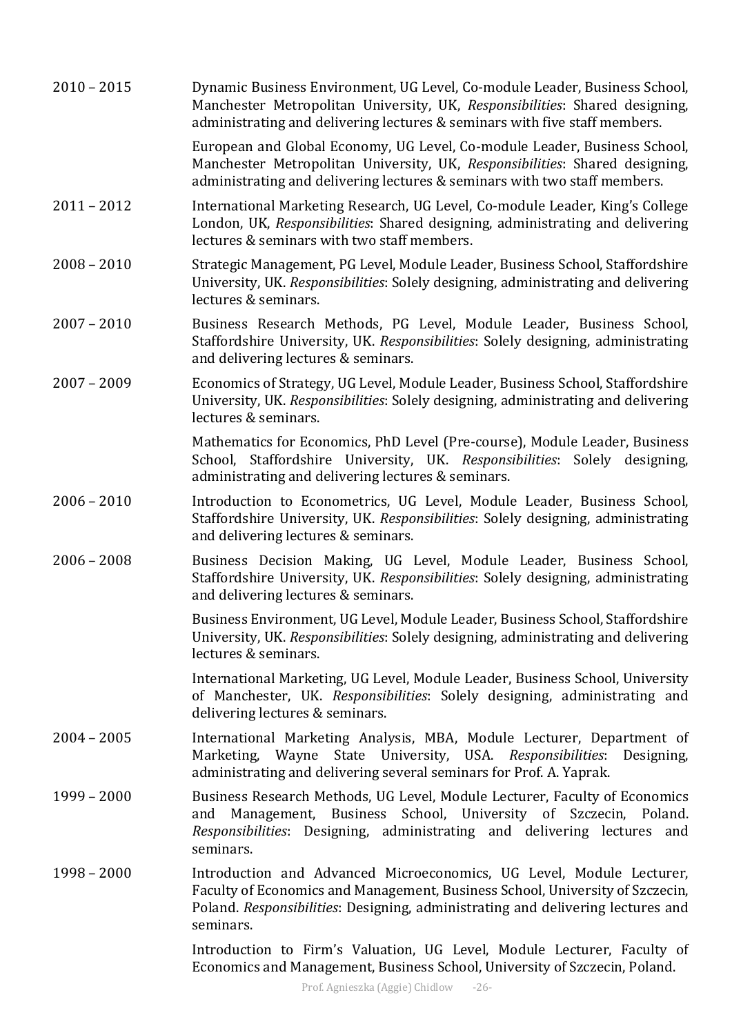| $2010 - 2015$ | Dynamic Business Environment, UG Level, Co-module Leader, Business School,<br>Manchester Metropolitan University, UK, Responsibilities: Shared designing,<br>administrating and delivering lectures & seminars with five staff members.               |
|---------------|-------------------------------------------------------------------------------------------------------------------------------------------------------------------------------------------------------------------------------------------------------|
|               | European and Global Economy, UG Level, Co-module Leader, Business School,<br>Manchester Metropolitan University, UK, Responsibilities: Shared designing,<br>administrating and delivering lectures & seminars with two staff members.                 |
| $2011 - 2012$ | International Marketing Research, UG Level, Co-module Leader, King's College<br>London, UK, Responsibilities: Shared designing, administrating and delivering<br>lectures & seminars with two staff members.                                          |
| $2008 - 2010$ | Strategic Management, PG Level, Module Leader, Business School, Staffordshire<br>University, UK. Responsibilities: Solely designing, administrating and delivering<br>lectures & seminars.                                                            |
| $2007 - 2010$ | Business Research Methods, PG Level, Module Leader, Business School,<br>Staffordshire University, UK. Responsibilities: Solely designing, administrating<br>and delivering lectures & seminars.                                                       |
| $2007 - 2009$ | Economics of Strategy, UG Level, Module Leader, Business School, Staffordshire<br>University, UK. Responsibilities: Solely designing, administrating and delivering<br>lectures & seminars.                                                           |
|               | Mathematics for Economics, PhD Level (Pre-course), Module Leader, Business<br>School, Staffordshire University, UK. Responsibilities: Solely designing,<br>administrating and delivering lectures & seminars.                                         |
| $2006 - 2010$ | Introduction to Econometrics, UG Level, Module Leader, Business School,<br>Staffordshire University, UK. Responsibilities: Solely designing, administrating<br>and delivering lectures & seminars.                                                    |
| $2006 - 2008$ | Business Decision Making, UG Level, Module Leader, Business School,<br>Staffordshire University, UK. Responsibilities: Solely designing, administrating<br>and delivering lectures & seminars.                                                        |
|               | Business Environment, UG Level, Module Leader, Business School, Staffordshire<br>University, UK. Responsibilities: Solely designing, administrating and delivering<br>lectures & seminars.                                                            |
|               | International Marketing, UG Level, Module Leader, Business School, University<br>of Manchester, UK. Responsibilities: Solely designing, administrating and<br>delivering lectures & seminars.                                                         |
| $2004 - 2005$ | International Marketing Analysis, MBA, Module Lecturer, Department of<br>Marketing, Wayne State University, USA. Responsibilities: Designing,<br>administrating and delivering several seminars for Prof. A. Yaprak.                                  |
| $1999 - 2000$ | Business Research Methods, UG Level, Module Lecturer, Faculty of Economics<br>Management, Business School, University of Szczecin, Poland.<br>and<br>Responsibilities: Designing, administrating and delivering lectures and<br>seminars.             |
| $1998 - 2000$ | Introduction and Advanced Microeconomics, UG Level, Module Lecturer,<br>Faculty of Economics and Management, Business School, University of Szczecin,<br>Poland. Responsibilities: Designing, administrating and delivering lectures and<br>seminars. |
|               | Introduction to Firm's Valuation, UG Level, Module Lecturer, Faculty of<br>Economics and Management, Business School, University of Szczecin, Poland.                                                                                                 |